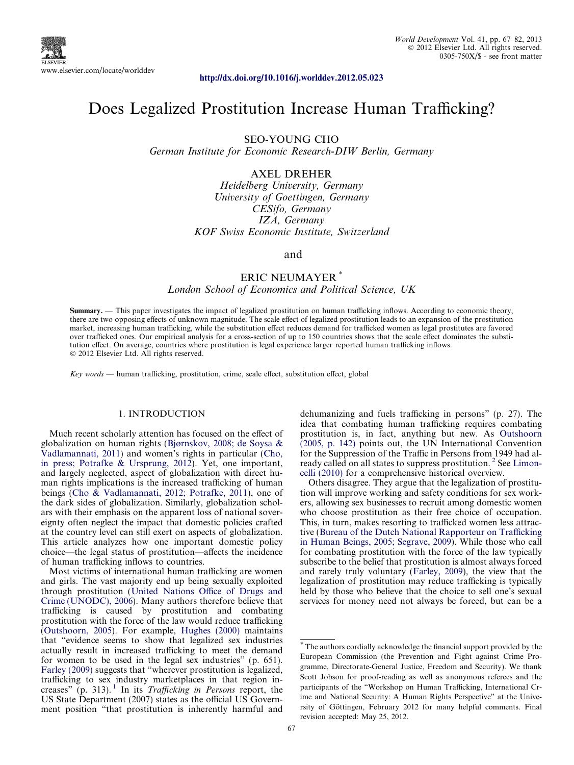

#### <http://dx.doi.org/10.1016/j.worlddev.2012.05.023>

## Does Legalized Prostitution Increase Human Trafficking?

SEO-YOUNG CHO

German Institute for Economic Research-DIW Berlin, Germany

## AXEL DREHER

Heidelberg University, Germany University of Goettingen, Germany CESifo, Germany IZA, Germany KOF Swiss Economic Institute, Switzerland

and

## ERIC NEUMAYER \* London School of Economics and Political Science, UK

Summary. — This paper investigates the impact of legalized prostitution on human trafficking inflows. According to economic theory, there are two opposing effects of unknown magnitude. The scale effect of legalized prostitution leads to an expansion of the prostitution market, increasing human trafficking, while the substitution effect reduces demand for trafficked women as legal prostitutes are favored over trafficked ones. Our empirical analysis for a cross-section of up to 150 countries shows that the scale effect dominates the substitution effect. On average, countries where prostitution is legal experience larger reported human trafficking inflows. © 2012 Elsevier Ltd. All rights reserved.

Key words — human trafficking, prostitution, crime, scale effect, substitution effect, global

## 1. INTRODUCTION

Much recent scholarly attention has focused on the effect of globalization on human rights ([Bjørnskov, 2008; de Soysa &](#page-11-0) [Vadlamannati, 2011](#page-11-0)) and women's rights in particular ([Cho,](#page-11-0) [in press; Potrafke & Ursprung, 2012](#page-11-0)). Yet, one important, and largely neglected, aspect of globalization with direct human rights implications is the increased trafficking of human beings [\(Cho & Vadlamannati, 2012; Potrafke, 2011](#page-11-0)), one of the dark sides of globalization. Similarly, globalization scholars with their emphasis on the apparent loss of national sovereignty often neglect the impact that domestic policies crafted at the country level can still exert on aspects of globalization. This article analyzes how one important domestic policy choice—the legal status of prostitution—affects the incidence of human trafficking inflows to countries.

Most victims of international human trafficking are women and girls. The vast majority end up being sexually exploited through prostitution [\(United Nations Office of Drugs and](#page-12-0) [Crime \(UNODC\), 2006\)](#page-12-0). Many authors therefore believe that trafficking is caused by prostitution and combating prostitution with the force of the law would reduce trafficking ([Outshoorn, 2005](#page-11-0)). For example, [Hughes \(2000\)](#page-11-0) maintains that "evidence seems to show that legalized sex industries actually result in increased trafficking to meet the demand for women to be used in the legal sex industries" (p. 651). [Farley \(2009\)](#page-11-0) suggests that "wherever prostitution is legalized, trafficking to sex industry marketplaces in that region increases" (p. 313).<sup>1</sup> In its *Trafficking in Persons* report, the US State Department (2007) states as the official US Government position "that prostitution is inherently harmful and

dehumanizing and fuels trafficking in persons" (p. 27). The idea that combating human trafficking requires combating prostitution is, in fact, anything but new. As [Outshoorn](#page-11-0) [\(2005, p. 142\)](#page-11-0) points out, the UN International Convention for the Suppression of the Traffic in Persons from 1949 had al-ready called on all states to suppress prostitution.<sup>2</sup> See [Limon](#page-11-0)[celli \(2010\)](#page-11-0) for a comprehensive historical overview.

Others disagree. They argue that the legalization of prostitution will improve working and safety conditions for sex workers, allowing sex businesses to recruit among domestic women who choose prostitution as their free choice of occupation. This, in turn, makes resorting to trafficked women less attractive ([Bureau of the Dutch National Rapporteur on Trafficking](#page-11-0) [in Human Beings, 2005; Segrave, 2009](#page-11-0)). While those who call for combating prostitution with the force of the law typically subscribe to the belief that prostitution is almost always forced and rarely truly voluntary ([Farley, 2009](#page-11-0)), the view that the legalization of prostitution may reduce trafficking is typically held by those who believe that the choice to sell one's sexual services for money need not always be forced, but can be a

<sup>\*</sup>The authors cordially acknowledge the financial support provided by the European Commission (the Prevention and Fight against Crime Programme, Directorate-General Justice, Freedom and Security). We thank Scott Jobson for proof-reading as well as anonymous referees and the participants of the "Workshop on Human Trafficking, International Crime and National Security: A Human Rights Perspective" at the University of Göttingen, February 2012 for many helpful comments. Final revision accepted: May 25, 2012.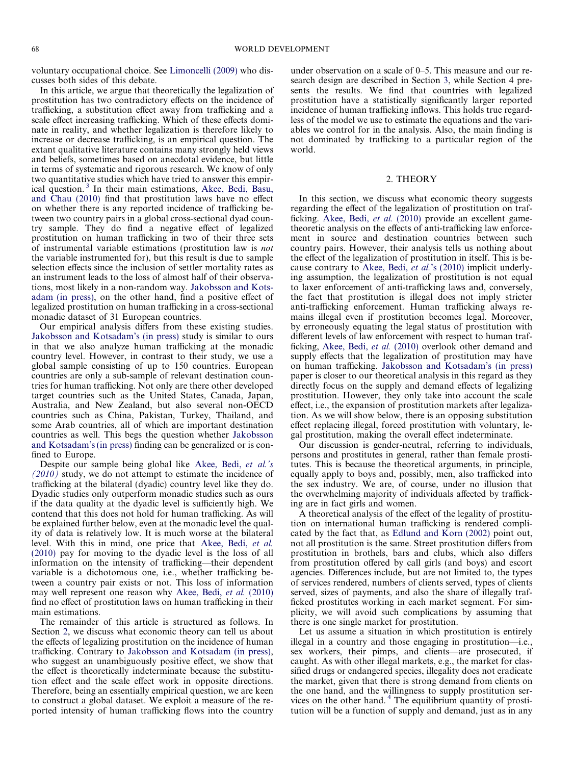voluntary occupational choice. See [Limoncelli \(2009\)](#page-11-0) who discusses both sides of this debate.

In this article, we argue that theoretically the legalization of prostitution has two contradictory effects on the incidence of trafficking, a substitution effect away from trafficking and a scale effect increasing trafficking. Which of these effects dominate in reality, and whether legalization is therefore likely to increase or decrease trafficking, is an empirical question. The extant qualitative literature contains many strongly held views and beliefs, sometimes based on anecdotal evidence, but little in terms of systematic and rigorous research. We know of only two quantitative studies which have tried to answer this empirical question. <sup>3</sup> In their main estimations, [Akee, Bedi, Basu,](#page-11-0) [and Chau \(2010\)](#page-11-0) find that prostitution laws have no effect on whether there is any reported incidence of trafficking between two country pairs in a global cross-sectional dyad country sample. They do find a negative effect of legalized prostitution on human trafficking in two of their three sets of instrumental variable estimations (prostitution law is not the variable instrumented for), but this result is due to sample selection effects since the inclusion of settler mortality rates as an instrument leads to the loss of almost half of their observations, most likely in a non-random way. [Jakobsson and Kots](#page-11-0)[adam \(in press\)](#page-11-0), on the other hand, find a positive effect of legalized prostitution on human trafficking in a cross-sectional monadic dataset of 31 European countries.

Our empirical analysis differs from these existing studies. [Jakobsson and Kotsadam's \(in press\)](#page-11-0) study is similar to ours in that we also analyze human trafficking at the monadic country level. However, in contrast to their study, we use a global sample consisting of up to 150 countries. European countries are only a sub-sample of relevant destination countries for human trafficking. Not only are there other developed target countries such as the United States, Canada, Japan, Australia, and New Zealand, but also several non-OECD countries such as China, Pakistan, Turkey, Thailand, and some Arab countries, all of which are important destination countries as well. This begs the question whether [Jakobsson](#page-11-0) [and Kotsadam's \(in press\)](#page-11-0) finding can be generalized or is confined to Europe.

Despite our sample being global like [Akee, Bedi,](#page-11-0) et [al.'s](#page-11-0)  $(2010)$  study, we do not attempt to estimate the incidence of trafficking at the bilateral (dyadic) country level like they do. Dyadic studies only outperform monadic studies such as ours if the data quality at the dyadic level is sufficiently high. We contend that this does not hold for human trafficking. As will be explained further below, even at the monadic level the quality of data is relatively low. It is much worse at the bilateral level. With this in mind, one price that [Akee, Bedi,](#page-11-0) et al. [\(2010\)](#page-11-0) pay for moving to the dyadic level is the loss of all information on the intensity of trafficking—their dependent variable is a dichotomous one, i.e., whether trafficking between a country pair exists or not. This loss of information may well represent one reason why [Akee, Bedi,](#page-11-0) et al. [\(2010\)](#page-11-0) find no effect of prostitution laws on human trafficking in their main estimations.

The remainder of this article is structured as follows. In Section 2, we discuss what economic theory can tell us about the effects of legalizing prostitution on the incidence of human trafficking. Contrary to [Jakobsson and Kotsadam \(in press\)](#page-11-0), who suggest an unambiguously positive effect, we show that the effect is theoretically indeterminate because the substitution effect and the scale effect work in opposite directions. Therefore, being an essentially empirical question, we are keen to construct a global dataset. We exploit a measure of the reported intensity of human trafficking flows into the country under observation on a scale of 0–5. This measure and our research design are described in Section 3, while Section 4 presents the results. We find that countries with legalized prostitution have a statistically significantly larger reported incidence of human trafficking inflows. This holds true regardless of the model we use to estimate the equations and the variables we control for in the analysis. Also, the main finding is not dominated by trafficking to a particular region of the world.

#### 2. THEORY

In this section, we discuss what economic theory suggests regarding the effect of the legalization of prostitution on trafficking. [Akee, Bedi,](#page-11-0) et al. (2010) provide an excellent gametheoretic analysis on the effects of anti-trafficking law enforcement in source and destination countries between such country pairs. However, their analysis tells us nothing about the effect of the legalization of prostitution in itself. This is because contrary to [Akee, Bedi,](#page-11-0) et al.'s (2010) implicit underlying assumption, the legalization of prostitution is not equal to laxer enforcement of anti-trafficking laws and, conversely, the fact that prostitution is illegal does not imply stricter anti-trafficking enforcement. Human trafficking always remains illegal even if prostitution becomes legal. Moreover, by erroneously equating the legal status of prostitution with different levels of law enforcement with respect to human trafficking, [Akee, Bedi,](#page-11-0) et al. (2010) overlook other demand and supply effects that the legalization of prostitution may have on human trafficking. [Jakobsson and Kotsadam's \(in press\)](#page-11-0) paper is closer to our theoretical analysis in this regard as they directly focus on the supply and demand effects of legalizing prostitution. However, they only take into account the scale effect, i.e., the expansion of prostitution markets after legalization. As we will show below, there is an opposing substitution effect replacing illegal, forced prostitution with voluntary, legal prostitution, making the overall effect indeterminate.

Our discussion is gender-neutral, referring to individuals, persons and prostitutes in general, rather than female prostitutes. This is because the theoretical arguments, in principle, equally apply to boys and, possibly, men, also trafficked into the sex industry. We are, of course, under no illusion that the overwhelming majority of individuals affected by trafficking are in fact girls and women.

A theoretical analysis of the effect of the legality of prostitution on international human trafficking is rendered complicated by the fact that, as [Edlund and Korn \(2002\)](#page-11-0) point out, not all prostitution is the same. Street prostitution differs from prostitution in brothels, bars and clubs, which also differs from prostitution offered by call girls (and boys) and escort agencies. Differences include, but are not limited to, the types of services rendered, numbers of clients served, types of clients served, sizes of payments, and also the share of illegally trafficked prostitutes working in each market segment. For simplicity, we will avoid such complications by assuming that there is one single market for prostitution.

Let us assume a situation in which prostitution is entirely illegal in a country and those engaging in prostitution—i.e., sex workers, their pimps, and clients—are prosecuted, if caught. As with other illegal markets, e.g., the market for classified drugs or endangered species, illegality does not eradicate the market, given that there is strong demand from clients on the one hand, and the willingness to supply prostitution services on the other hand. <sup>4</sup> The equilibrium quantity of prostitution will be a function of supply and demand, just as in any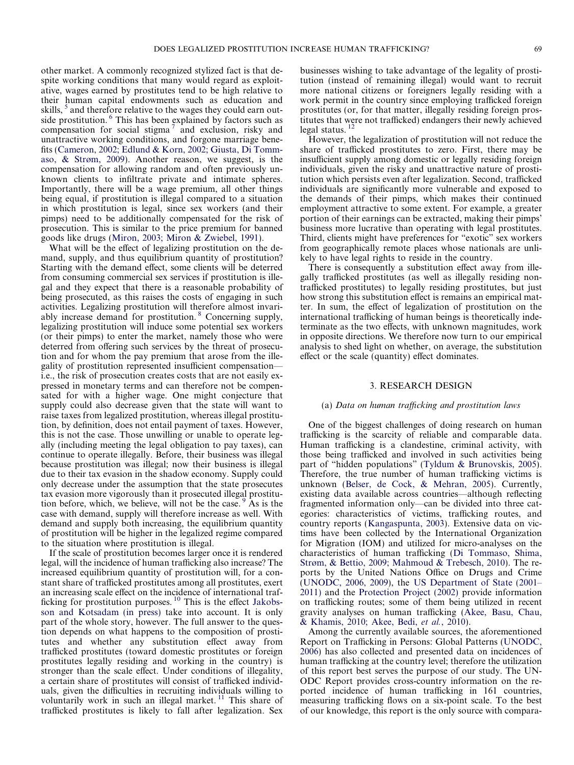other market. A commonly recognized stylized fact is that despite working conditions that many would regard as exploitative, wages earned by prostitutes tend to be high relative to their human capital endowments such as education and skills, <sup>5</sup> and therefore relative to the wages they could earn outside prostitution. <sup>6</sup> This has been explained by factors such as compensation for social stigma<sup>7</sup> and exclusion, risky and unattractive working conditions, and forgone marriage benefits [\(Cameron, 2002; Edlund & Korn, 2002; Giusta, Di Tomm](#page-11-0)[aso, & Strøm, 2009](#page-11-0)). Another reason, we suggest, is the compensation for allowing random and often previously unknown clients to infiltrate private and intimate spheres. Importantly, there will be a wage premium, all other things being equal, if prostitution is illegal compared to a situation in which prostitution is legal, since sex workers (and their pimps) need to be additionally compensated for the risk of prosecution. This is similar to the price premium for banned goods like drugs [\(Miron, 2003; Miron & Zwiebel, 1991](#page-11-0)).

What will be the effect of legalizing prostitution on the demand, supply, and thus equilibrium quantity of prostitution? Starting with the demand effect, some clients will be deterred from consuming commercial sex services if prostitution is illegal and they expect that there is a reasonable probability of being prosecuted, as this raises the costs of engaging in such activities. Legalizing prostitution will therefore almost invariably increase demand for prostitution.<sup>8</sup> Concerning supply, legalizing prostitution will induce some potential sex workers (or their pimps) to enter the market, namely those who were deterred from offering such services by the threat of prosecution and for whom the pay premium that arose from the illegality of prostitution represented insufficient compensation i.e., the risk of prosecution creates costs that are not easily expressed in monetary terms and can therefore not be compensated for with a higher wage. One might conjecture that supply could also decrease given that the state will want to raise taxes from legalized prostitution, whereas illegal prostitution, by definition, does not entail payment of taxes. However, this is not the case. Those unwilling or unable to operate legally (including meeting the legal obligation to pay taxes), can continue to operate illegally. Before, their business was illegal because prostitution was illegal; now their business is illegal due to their tax evasion in the shadow economy. Supply could only decrease under the assumption that the state prosecutes tax evasion more vigorously than it prosecuted illegal prostitution before, which, we believe, will not be the case. <sup>9</sup> As is the case with demand, supply will therefore increase as well. With demand and supply both increasing, the equilibrium quantity of prostitution will be higher in the legalized regime compared to the situation where prostitution is illegal.

If the scale of prostitution becomes larger once it is rendered legal, will the incidence of human trafficking also increase? The increased equilibrium quantity of prostitution will, for a constant share of trafficked prostitutes among all prostitutes, exert an increasing scale effect on the incidence of international traf-<br>ficking for prostitution purposes.<sup>10</sup> This is the effect [Jakobs](#page-11-0)[son and Kotsadam \(in press\)](#page-11-0) take into account. It is only part of the whole story, however. The full answer to the question depends on what happens to the composition of prostitutes and whether any substitution effect away from trafficked prostitutes (toward domestic prostitutes or foreign prostitutes legally residing and working in the country) is stronger than the scale effect. Under conditions of illegality, a certain share of prostitutes will consist of trafficked individuals, given the difficulties in recruiting individuals willing to voluntarily work in such an illegal market.<sup>11</sup> This share of trafficked prostitutes is likely to fall after legalization. Sex businesses wishing to take advantage of the legality of prostitution (instead of remaining illegal) would want to recruit more national citizens or foreigners legally residing with a work permit in the country since employing trafficked foreign prostitutes (or, for that matter, illegally residing foreign prostitutes that were not trafficked) endangers their newly achieved legal status. $12$ 

However, the legalization of prostitution will not reduce the share of trafficked prostitutes to zero. First, there may be insufficient supply among domestic or legally residing foreign individuals, given the risky and unattractive nature of prostitution which persists even after legalization. Second, trafficked individuals are significantly more vulnerable and exposed to the demands of their pimps, which makes their continued employment attractive to some extent. For example, a greater portion of their earnings can be extracted, making their pimps' business more lucrative than operating with legal prostitutes. Third, clients might have preferences for "exotic" sex workers from geographically remote places whose nationals are unlikely to have legal rights to reside in the country.

There is consequently a substitution effect away from illegally trafficked prostitutes (as well as illegally residing nontrafficked prostitutes) to legally residing prostitutes, but just how strong this substitution effect is remains an empirical matter. In sum, the effect of legalization of prostitution on the international trafficking of human beings is theoretically indeterminate as the two effects, with unknown magnitudes, work in opposite directions. We therefore now turn to our empirical analysis to shed light on whether, on average, the substitution effect or the scale (quantity) effect dominates.

#### 3. RESEARCH DESIGN

#### (a) Data on human trafficking and prostitution laws

One of the biggest challenges of doing research on human trafficking is the scarcity of reliable and comparable data. Human trafficking is a clandestine, criminal activity, with those being trafficked and involved in such activities being part of "hidden populations" ([Tyldum & Brunovskis, 2005\)](#page-12-0). Therefore, the true number of human trafficking victims is unknown ([Belser, de Cock, & Mehran, 2005](#page-11-0)). Currently, existing data available across countries—although reflecting fragmented information only—can be divided into three categories: characteristics of victims, trafficking routes, and country reports ([Kangaspunta, 2003](#page-11-0)). Extensive data on victims have been collected by the International Organization for Migration (IOM) and utilized for micro-analyses on the characteristics of human trafficking [\(Di Tommaso, Shima,](#page-11-0) [Strøm, & Bettio, 2009; Mahmoud & Trebesch, 2010](#page-11-0)). The reports by the United Nations Office on Drugs and Crime ([UNODC, 2006, 2009\)](#page-12-0), the [US Department of State \(2001–](#page-12-0) [2011\)](#page-12-0) and the [Protection Project \(2002\)](#page-11-0) provide information on trafficking routes; some of them being utilized in recent gravity analyses on human trafficking ([Akee, Basu, Chau,](#page-11-0) [& Khamis, 2010; Akee, Bedi,](#page-11-0) et al., 2010).

Among the currently available sources, the aforementioned Report on Trafficking in Persons: Global Patterns ([UNODC,](#page-12-0) [2006](#page-12-0)) has also collected and presented data on incidences of human trafficking at the country level; therefore the utilization of this report best serves the purpose of our study. The UN-ODC Report provides cross-country information on the reported incidence of human trafficking in 161 countries, measuring trafficking flows on a six-point scale. To the best of our knowledge, this report is the only source with compara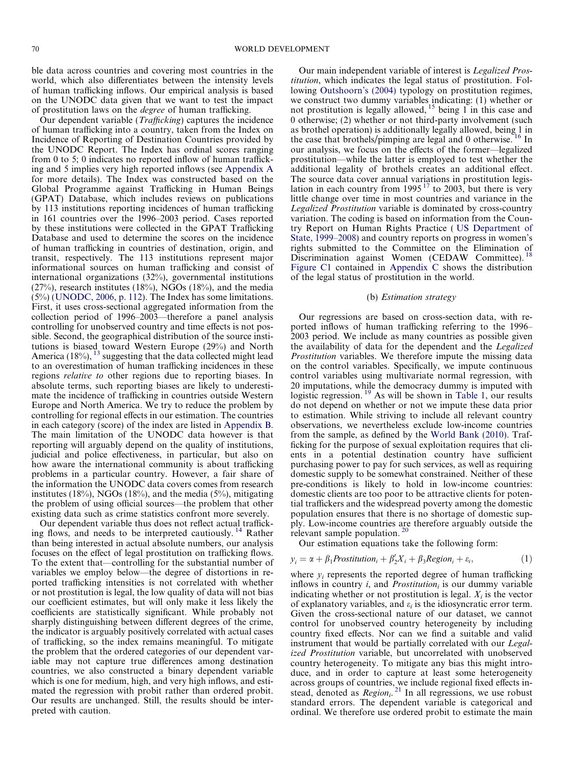ble data across countries and covering most countries in the world, which also differentiates between the intensity levels of human trafficking inflows. Our empirical analysis is based on the UNODC data given that we want to test the impact of prostitution laws on the degree of human trafficking.

Our dependent variable ( $Trafficking$ ) captures the incidence of human trafficking into a country, taken from the Index on Incidence of Reporting of Destination Countries provided by the UNODC Report. The Index has ordinal scores ranging from 0 to 5; 0 indicates no reported inflow of human trafficking and 5 implies very high reported inflows (see Appendix A for more details). The Index was constructed based on the Global Programme against Trafficking in Human Beings (GPAT) Database, which includes reviews on publications by 113 institutions reporting incidences of human trafficking in 161 countries over the 1996–2003 period. Cases reported by these institutions were collected in the GPAT Trafficking Database and used to determine the scores on the incidence of human trafficking in countries of destination, origin, and transit, respectively. The 113 institutions represent major informational sources on human trafficking and consist of international organizations (32%), governmental institutions  $(27\%)$ , research institutes  $(18\%)$ , NGOs  $(18\%)$ , and the media (5%) [\(UNODC, 2006, p. 112\)](#page-12-0). The Index has some limitations. First, it uses cross-sectional aggregated information from the collection period of 1996–2003—therefore a panel analysis controlling for unobserved country and time effects is not possible. Second, the geographical distribution of the source institutions is biased toward Western Europe (29%) and North America  $(18\%)$ ,  $^{13}$  suggesting that the data collected might lead to an overestimation of human trafficking incidences in these regions relative to other regions due to reporting biases. In absolute terms, such reporting biases are likely to underestimate the incidence of trafficking in countries outside Western Europe and North America. We try to reduce the problem by controlling for regional effects in our estimation. The countries in each category (score) of the index are listed in Appendix B. The main limitation of the UNODC data however is that reporting will arguably depend on the quality of institutions, judicial and police effectiveness, in particular, but also on how aware the international community is about trafficking problems in a particular country. However, a fair share of the information the UNODC data covers comes from research institutes (18%), NGOs (18%), and the media (5%), mitigating the problem of using official sources—the problem that other existing data such as crime statistics confront more severely.

Our dependent variable thus does not reflect actual trafficking flows, and needs to be interpreted cautiously. <sup>14</sup> Rather than being interested in actual absolute numbers, our analysis focuses on the effect of legal prostitution on trafficking flows. To the extent that—controlling for the substantial number of variables we employ below—the degree of distortions in reported trafficking intensities is not correlated with whether or not prostitution is legal, the low quality of data will not bias our coefficient estimates, but will only make it less likely the coefficients are statistically significant. While probably not sharply distinguishing between different degrees of the crime, the indicator is arguably positively correlated with actual cases of trafficking, so the index remains meaningful. To mitigate the problem that the ordered categories of our dependent variable may not capture true differences among destination countries, we also constructed a binary dependent variable which is one for medium, high, and very high inflows, and estimated the regression with probit rather than ordered probit. Our results are unchanged. Still, the results should be interpreted with caution.

Our main independent variable of interest is Legalized Prostitution, which indicates the legal status of prostitution. Following [Outshoorn's \(2004\)](#page-11-0) typology on prostitution regimes, we construct two dummy variables indicating: (1) whether or not prostitution is legally allowed,  $15$  being 1 in this case and 0 otherwise; (2) whether or not third-party involvement (such as brothel operation) is additionally legally allowed, being 1 in the case that brothels/pimping are legal and 0 otherwise.<sup>16</sup> In our analysis, we focus on the effects of the former—legalized prostitution—while the latter is employed to test whether the additional legality of brothels creates an additional effect. The source data cover annual variations in prostitution legis-<br>lation in each country from 1995<sup>17</sup> to 2003, but there is very little change over time in most countries and variance in the Legalized Prostitution variable is dominated by cross-country variation. The coding is based on information from the Country Report on Human Rights Practice ( [US Department of](#page-12-0) [State, 1999–2008\)](#page-12-0) and country reports on progress in women's rights submitted to the Committee on the Elimination of Discrimination against Women (CEDAW Committee).<sup>18</sup> [Figure C1](#page-13-0) contained in Appendix C shows the distribution of the legal status of prostitution in the world.

#### (b) Estimation strategy

Our regressions are based on cross-section data, with reported inflows of human trafficking referring to the 1996– 2003 period. We include as many countries as possible given the availability of data for the dependent and the Legalized Prostitution variables. We therefore impute the missing data on the control variables. Specifically, we impute continuous control variables using multivariate normal regression, with 20 imputations, while the democracy dummy is imputed with logistic regression.<sup>19</sup> As will be shown in [Table 1,](#page-4-0) our results do not depend on whether or not we impute these data prior to estimation. While striving to include all relevant country observations, we nevertheless exclude low-income countries from the sample, as defined by the [World Bank \(2010\).](#page-12-0) Trafficking for the purpose of sexual exploitation requires that clients in a potential destination country have sufficient purchasing power to pay for such services, as well as requiring domestic supply to be somewhat constrained. Neither of these pre-conditions is likely to hold in low-income countries: domestic clients are too poor to be attractive clients for potential traffickers and the widespread poverty among the domestic population ensures that there is no shortage of domestic supply. Low-income countries are therefore arguably outside the relevant sample population. <sup>20</sup>

Our estimation equations take the following form:

$$
y_i = \alpha + \beta_1 \text{Prostitution}_i + \beta_2' X_i + \beta_3 \text{Region}_i + \varepsilon_i,
$$
\n(1)

where  $y_i$  represents the reported degree of human trafficking inflows in country  $i$ , and *Prostitution* $i$  is our dummy variable indicating whether or not prostitution is legal.  $X_i$  is the vector of explanatory variables, and  $\varepsilon_i$  is the idiosyncratic error term. Given the cross-sectional nature of our dataset, we cannot control for unobserved country heterogeneity by including country fixed effects. Nor can we find a suitable and valid instrument that would be partially correlated with our Legalized Prostitution variable, but uncorrelated with unobserved country heterogeneity. To mitigate any bias this might introduce, and in order to capture at least some heterogeneity across groups of countries, we include regional fixed effects instead, denoted as  $Region<sub>i</sub><sup>[21]</sup>$  In all regressions, we use robust standard errors. The dependent variable is categorical and ordinal. We therefore use ordered probit to estimate the main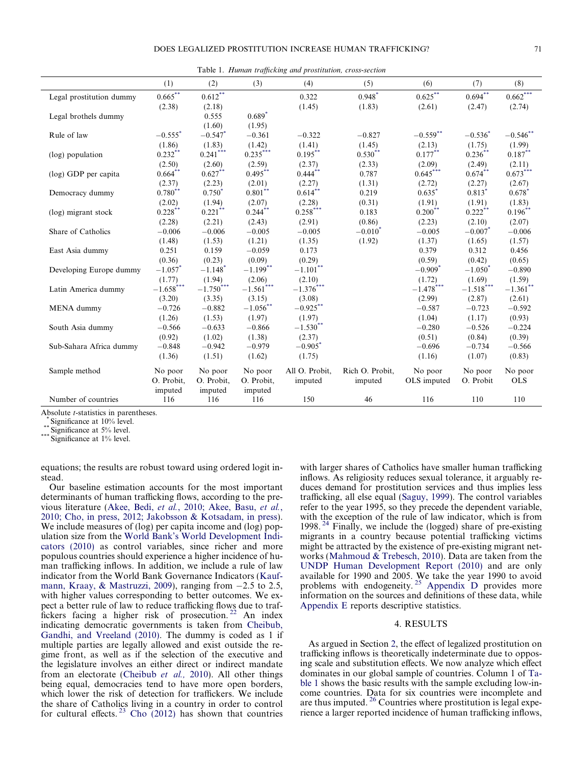<span id="page-4-0"></span>

|                          | (1)                   | (2)                   | (3)          | (4)                   | (5)             | (6)                   | (7)                   | (8)         |
|--------------------------|-----------------------|-----------------------|--------------|-----------------------|-----------------|-----------------------|-----------------------|-------------|
| Legal prostitution dummy | $0.665***$            | $0.612***$            |              | 0.322                 | $0.948*$        | $0.625$ <sup>**</sup> | $0.694$ **            | $0.662***$  |
|                          | (2.38)                | (2.18)                |              | (1.45)                | (1.83)          | (2.61)                | (2.47)                | (2.74)      |
| Legal brothels dummy     |                       | 0.555                 | $0.689*$     |                       |                 |                       |                       |             |
|                          |                       | (1.60)                | (1.95)       |                       |                 |                       |                       |             |
| Rule of law              | $-0.555$ <sup>*</sup> | $-0.547$ <sup>*</sup> | $-0.361$     | $-0.322$              | $-0.827$        | $-0.559$ **           | $-0.536^{*}$          | $-0.546$ ** |
|                          | (1.86)                | (1.83)                | (1.42)       | (1.41)                | (1.45)          | (2.13)                | (1.75)                | (1.99)      |
| (log) population         | $0.232***$            | $0.241***$            | $0.235***$   | $0.195***$            | $0.530**$       | $0.177$ **            | $0.236$ **            | $0.187***$  |
|                          | (2.50)                | (2.60)                | (2.59)       | (2.37)                | (2.33)          | (2.09)                | (2.49)                | (2.11)      |
| (log) GDP per capita     | $0.664^{**}$          | $0.627**$             | $0.495***$   | $0.444$ **            | 0.787           | $0.645***$            | $0.674$ **            | $0.673***$  |
|                          | (2.37)                | (2.23)                | (2.01)       | (2.27)                | (1.31)          | (2.72)                | (2.27)                | (2.67)      |
| Democracy dummy          | $0.780**$             | $0.750^*$             | $0.801***$   | $0.614**$             | 0.219           | $0.635*$              | $0.813*$              | $0.678^{*}$ |
|                          | (2.02)                | (1.94)                | (2.07)       | (2.28)                | (0.31)          | (1.91)                | (1.91)                | (1.83)      |
| (log) migrant stock      | $0.228$ **            | $0.221$ **            | $0.244$ **   | $0.258***$            | 0.183           | $0.200**$             | $0.222$ **            | $0.196***$  |
|                          | (2.28)                | (2.21)                | (2.43)       | (2.91)                | (0.86)          | (2.23)                | (2.10)                | (2.07)      |
| Share of Catholics       | $-0.006$              | $-0.006$              | $-0.005$     | $-0.005$              | $-0.010^{*}$    | $-0.005$              | $-0.007$ <sup>*</sup> | $-0.006$    |
|                          | (1.48)                | (1.53)                | (1.21)       | (1.35)                | (1.92)          | (1.37)                | (1.65)                | (1.57)      |
| East Asia dummy          | 0.251                 | 0.159                 | $-0.059$     | 0.173                 |                 | 0.379                 | 0.312                 | 0.456       |
|                          | (0.36)                | (0.23)                | (0.09)       | (0.29)                |                 | (0.59)                | (0.42)                | (0.65)      |
| Developing Europe dummy  | $-1.057$ <sup>*</sup> | $-1.148*$             | $-1.199***$  | $-1.101***$           |                 | $-0.909*$             | $-1.050^*$            | $-0.890$    |
|                          | (1.77)                | (1.94)                | (2.06)       | (2.10)                |                 | (1.72)                | (1.69)                | (1.59)      |
| Latin America dummy      | $-1.658***$           | $-1.750***$           | $-1.561$ *** | $-1.376***$           |                 | $-1.478***$           | $-1.518***$           | $-1.361$ ** |
|                          | (3.20)                | (3.35)                | (3.15)       | (3.08)                |                 | (2.99)                | (2.87)                | (2.61)      |
| MENA dummy               | $-0.726$              | $-0.882$              | $-1.056$ **  | $-0.925***$           |                 | $-0.587$              | $-0.723$              | $-0.592$    |
|                          | (1.26)                | (1.53)                | (1.97)       | (1.97)                |                 | (1.04)                | (1.17)                | (0.93)      |
| South Asia dummy         | $-0.566$              | $-0.633$              | $-0.866$     | $-1.530$ **           |                 | $-0.280$              | $-0.526$              | $-0.224$    |
|                          | (0.92)                | (1.02)                | (1.38)       | (2.37)                |                 | (0.51)                | (0.84)                | (0.39)      |
| Sub-Sahara Africa dummy  | $-0.848$              | $-0.942$              | $-0.979$     | $-0.905$ <sup>*</sup> |                 | $-0.696$              | $-0.734$              | $-0.566$    |
|                          | (1.36)                | (1.51)                | (1.62)       | (1.75)                |                 | (1.16)                | (1.07)                | (0.83)      |
| Sample method            | No poor               | No poor               | No poor      | All O. Probit,        | Rich O. Probit, | No poor               | No poor               | No poor     |
|                          | O. Probit,            | O. Probit.            | O. Probit,   | imputed               | imputed         | OLS imputed           | O. Probit             | <b>OLS</b>  |
|                          | imputed               | imputed               | imputed      |                       |                 |                       |                       |             |
| Number of countries      | 116                   | 116                   | 116          | 150                   | 46              | 116                   | 110                   | 110         |

Table 1. Human trafficking and prostitution, cross-section

Absolute *t*-statistics in parentheses.<br>
\* Significance at 10% level.<br>
\*\* Significance at 5% level.<br>
\*\*\* Significance at 1% level.

equations; the results are robust toward using ordered logit instead.

Our baseline estimation accounts for the most important determinants of human trafficking flows, according to the previous literature (Akee, Bedi, et al.[, 2010; Akee, Basu,](#page-11-0) et al., [2010; Cho, in press, 2012; Jakobsson & Kotsadam, in press\)](#page-11-0). We include measures of (log) per capita income and (log) population size from the [World Bank's World Development Indi](#page-12-0)[cators \(2010\)](#page-12-0) as control variables, since richer and more populous countries should experience a higher incidence of human trafficking inflows. In addition, we include a rule of law indicator from the World Bank Governance Indicators ([Kauf](#page-11-0)[mann, Kraay, & Mastruzzi, 2009\)](#page-11-0), ranging from -2.5 to 2.5, with higher values corresponding to better outcomes. We expect a better rule of law to reduce trafficking flows due to traffickers facing a higher risk of prosecution.<sup>22</sup> An index indicating democratic governments is taken from [Cheibub,](#page-11-0) [Gandhi, and Vreeland \(2010\).](#page-11-0) The dummy is coded as 1 if multiple parties are legally allowed and exist outside the regime front, as well as if the selection of the executive and the legislature involves an either direct or indirect mandate from an electorate ([Cheibub](#page-11-0) et al., [2010\)](#page-11-0). All other things being equal, democracies tend to have more open borders, which lower the risk of detection for traffickers. We include the share of Catholics living in a country in order to control for cultural effects.  $23$  [Cho \(2012\)](#page-11-0) has shown that countries with larger shares of Catholics have smaller human trafficking inflows. As religiosity reduces sexual tolerance, it arguably reduces demand for prostitution services and thus implies less trafficking, all else equal [\(Saguy, 1999\)](#page-11-0). The control variables refer to the year 1995, so they precede the dependent variable, with the exception of the rule of law indicator, which is from 1998. $^{24}$  Finally, we include the (logged) share of pre-existing migrants in a country because potential trafficking victims might be attracted by the existence of pre-existing migrant networks ([Mahmoud & Trebesch, 2010\)](#page-11-0). Data are taken from the [UNDP Human Development Report \(2010\)](#page-12-0) and are only available for 1990 and 2005. We take the year 1990 to avoid problems with endogeneity.<sup>25</sup> Appendix D provides more information on the sources and definitions of these data, while Appendix E reports descriptive statistics.

#### 4. RESULTS

As argued in Section 2, the effect of legalized prostitution on trafficking inflows is theoretically indeterminate due to opposing scale and substitution effects. We now analyze which effect dominates in our global sample of countries. Column 1 of Table 1 shows the basic results with the sample excluding low-income countries. Data for six countries were incomplete and are thus imputed. <sup>26</sup> Countries where prostitution is legal experience a larger reported incidence of human trafficking inflows,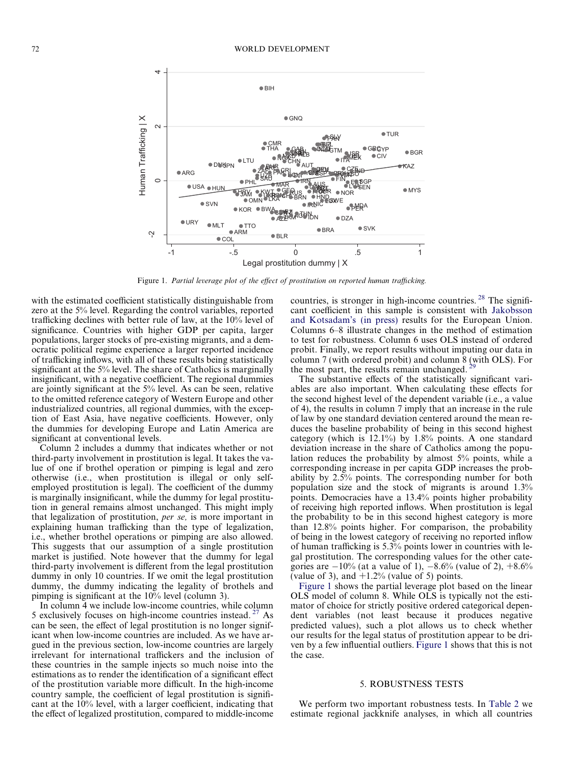

Figure 1. Partial leverage plot of the effect of prostitution on reported human trafficking.

with the estimated coefficient statistically distinguishable from zero at the 5% level. Regarding the control variables, reported trafficking declines with better rule of law, at the 10% level of significance. Countries with higher GDP per capita, larger populations, larger stocks of pre-existing migrants, and a democratic political regime experience a larger reported incidence of trafficking inflows, with all of these results being statistically significant at the 5% level. The share of Catholics is marginally insignificant, with a negative coefficient. The regional dummies are jointly significant at the 5% level. As can be seen, relative to the omitted reference category of Western Europe and other industrialized countries, all regional dummies, with the exception of East Asia, have negative coefficients. However, only the dummies for developing Europe and Latin America are significant at conventional levels.

Column 2 includes a dummy that indicates whether or not third-party involvement in prostitution is legal. It takes the value of one if brothel operation or pimping is legal and zero otherwise (i.e., when prostitution is illegal or only selfemployed prostitution is legal). The coefficient of the dummy is marginally insignificant, while the dummy for legal prostitution in general remains almost unchanged. This might imply that legalization of prostitution, per se, is more important in explaining human trafficking than the type of legalization, i.e., whether brothel operations or pimping are also allowed. This suggests that our assumption of a single prostitution market is justified. Note however that the dummy for legal third-party involvement is different from the legal prostitution dummy in only 10 countries. If we omit the legal prostitution dummy, the dummy indicating the legality of brothels and pimping is significant at the 10% level (column 3).

In column 4 we include low-income countries, while column 5 exclusively focuses on high-income countries instead.<sup>27</sup> As can be seen, the effect of legal prostitution is no longer significant when low-income countries are included. As we have argued in the previous section, low-income countries are largely irrelevant for international traffickers and the inclusion of these countries in the sample injects so much noise into the estimations as to render the identification of a significant effect of the prostitution variable more difficult. In the high-income country sample, the coefficient of legal prostitution is significant at the 10% level, with a larger coefficient, indicating that the effect of legalized prostitution, compared to middle-income

countries, is stronger in high-income countries.  $^{28}$  The significant coefficient in this sample is consistent with [Jakobsson](#page-11-0) [and Kotsadam's \(in press\)](#page-11-0) results for the European Union. Columns 6–8 illustrate changes in the method of estimation to test for robustness. Column 6 uses OLS instead of ordered probit. Finally, we report results without imputing our data in column 7 (with ordered probit) and column 8 (with OLS). For the most part, the results remain unchanged.

The substantive effects of the statistically significant variables are also important. When calculating these effects for the second highest level of the dependent variable (i.e., a value of 4), the results in column 7 imply that an increase in the rule of law by one standard deviation centered around the mean reduces the baseline probability of being in this second highest category (which is 12.1%) by 1.8% points. A one standard deviation increase in the share of Catholics among the population reduces the probability by almost 5% points, while a corresponding increase in per capita GDP increases the probability by 2.5% points. The corresponding number for both population size and the stock of migrants is around 1.3% points. Democracies have a 13.4% points higher probability of receiving high reported inflows. When prostitution is legal the probability to be in this second highest category is more than 12.8% points higher. For comparison, the probability of being in the lowest category of receiving no reported inflow of human trafficking is 5.3% points lower in countries with legal prostitution. The corresponding values for the other categories are  $-10\%$  (at a value of 1),  $-8.6\%$  (value of 2),  $+8.6\%$ (value of 3), and  $+1.2\%$  (value of 5) points.

Figure 1 shows the partial leverage plot based on the linear OLS model of column 8. While OLS is typically not the estimator of choice for strictly positive ordered categorical dependent variables (not least because it produces negative predicted values), such a plot allows us to check whether our results for the legal status of prostitution appear to be driven by a few influential outliers. Figure 1 shows that this is not the case.

#### 5. ROBUSTNESS TESTS

We perform two important robustness tests. In [Table 2](#page-6-0) we estimate regional jackknife analyses, in which all countries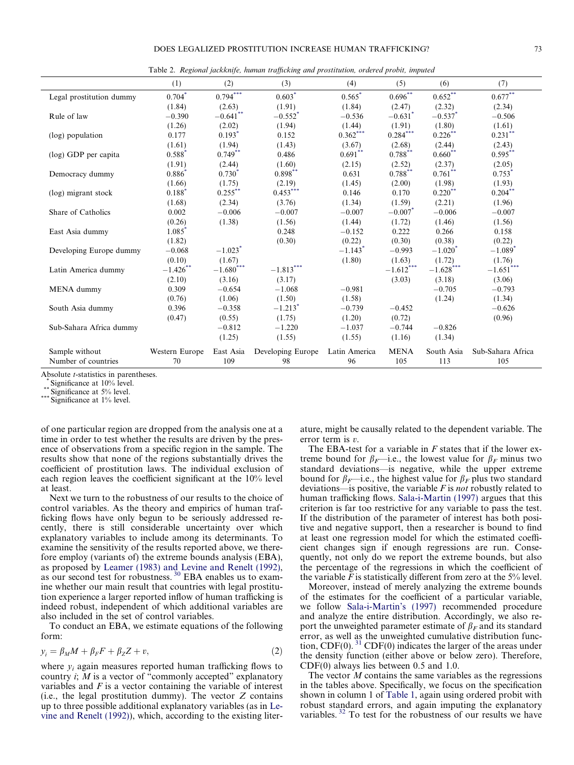<span id="page-6-0"></span>

|                          | (1)                  | (2)                   | (3)                   | (4)                   | (5)                   | (6)                   | (7)                     |
|--------------------------|----------------------|-----------------------|-----------------------|-----------------------|-----------------------|-----------------------|-------------------------|
| Legal prostitution dummy | $0.704*$             | $0.794$ ***           | $0.603*$              | $0.565*$              | $0.696^{**}$          | $0.652$ <sup>**</sup> | $0.677$ <sup>**</sup>   |
|                          | (1.84)               | (2.63)                | (1.91)                | (1.84)                | (2.47)                | (2.32)                | (2.34)                  |
| Rule of law              | $-0.390$             | $-0.641$ **           | $-0.552$ <sup>*</sup> | $-0.536$              | $-0.631$ <sup>*</sup> | $-0.537$ *            | $-0.506$                |
|                          | (1.26)               | (2.02)                | (1.94)                | (1.44)                | (1.91)                | (1.80)                | (1.61)                  |
| (log) population         | 0.177                | $0.193*$              | 0.152                 | $0.362***$            | $0.284***$            | $0.226$ **            | $0.231***$              |
|                          | (1.61)               | (1.94)                | (1.43)                | (3.67)                | (2.68)                | (2.44)                | (2.43)                  |
| (log) GDP per capita     | $0.588*$             | $0.749**$             | 0.486                 | $0.691**$             | $0.788***$            | $0.660**$             | $0.595***$              |
|                          | (1.91)               | (2.44)                | (1.60)                | (2.15)                | (2.52)                | (2.37)                | (2.05)                  |
| Democracy dummy          | $0.886*$             | $0.730^{*}$           | $0.898***$            | 0.631                 | $0.788***$            | $0.761**$             | $0.753*$                |
|                          | (1.66)               | (1.75)                | (2.19)                | (1.45)                | (2.00)                | (1.98)                | (1.93)                  |
| (log) migrant stock      | $0.188*$             | $0.255***$            | $0.453***$            | 0.146                 | 0.170                 | $0.220$ <sup>**</sup> | $0.204***$              |
|                          | (1.68)               | (2.34)                | (3.76)                | (1.34)                | (1.59)                | (2.21)                | (1.96)                  |
| Share of Catholics       | 0.002                | $-0.006$              | $-0.007$              | $-0.007$              | $-0.007$ *            | $-0.006$              | $-0.007$                |
|                          | (0.26)               | (1.38)                | (1.56)                | (1.44)                | (1.72)                | (1.46)                | (1.56)                  |
| East Asia dummy          | $1.085$ <sup>*</sup> |                       | 0.248                 | $-0.152$              | 0.222                 | 0.266                 | 0.158                   |
|                          | (1.82)               |                       | (0.30)                | (0.22)                | (0.30)                | (0.38)                | (0.22)                  |
| Developing Europe dummy  | $-0.068$             | $-1.023$ <sup>*</sup> |                       | $-1.143$ <sup>*</sup> | $-0.993$              | $-1.020^*$            | $-1.089$ <sup>*</sup>   |
|                          | (0.10)               | (1.67)                |                       | (1.80)                | (1.63)                | (1.72)                | (1.76)                  |
| Latin America dummy      | $-1.426$ **          | $-1.680***$           | $-1.813***$           |                       | $-1.612***$           | $-1.628***$           | $-1.651^{\ast\ast\ast}$ |
|                          | (2.10)               | (3.16)                | (3.17)                |                       | (3.03)                | (3.18)                | (3.06)                  |
| MENA dummy               | 0.309                | $-0.654$              | $-1.068$              | $-0.981$              |                       | $-0.705$              | $-0.793$                |
|                          | (0.76)               | (1.06)                | (1.50)                | (1.58)                |                       | (1.24)                | (1.34)                  |
| South Asia dummy         | 0.396                | $-0.358$              | $-1.213*$             | $-0.739$              | $-0.452$              |                       | $-0.626$                |
|                          | (0.47)               | (0.55)                | (1.75)                | (1.20)                | (0.72)                |                       | (0.96)                  |
| Sub-Sahara Africa dummy  |                      | $-0.812$              | $-1.220$              | $-1.037$              | $-0.744$              | $-0.826$              |                         |
|                          |                      | (1.25)                | (1.55)                | (1.55)                | (1.16)                | (1.34)                |                         |
| Sample without           | Western Europe       | East Asia             | Developing Europe     | Latin America         | <b>MENA</b>           | South Asia            | Sub-Sahara Africa       |
| Number of countries      | 70                   | 109                   | 98                    | 96                    | 105                   | 113                   | 105                     |

Table 2. Regional jackknife, human trafficking and prostitution, ordered probit, imputed

Absolute *t*-statistics in parentheses.<br>
\*\* Significance at 10% level.<br>
\*\*\* Significance at 5% level.<br>
\*\*\* Significance at 1% level.

of one particular region are dropped from the analysis one at a time in order to test whether the results are driven by the presence of observations from a specific region in the sample. The results show that none of the regions substantially drives the coefficient of prostitution laws. The individual exclusion of each region leaves the coefficient significant at the 10% level at least.

Next we turn to the robustness of our results to the choice of control variables. As the theory and empirics of human trafficking flows have only begun to be seriously addressed recently, there is still considerable uncertainty over which explanatory variables to include among its determinants. To examine the sensitivity of the results reported above, we therefore employ (variants of) the extreme bounds analysis (EBA), as proposed by [Leamer \(1983\) and Levine and Renelt \(1992\)](#page-11-0), as our second test for robustness.<sup>30</sup> EBA enables us to examine whether our main result that countries with legal prostitution experience a larger reported inflow of human trafficking is indeed robust, independent of which additional variables are also included in the set of control variables.

To conduct an EBA, we estimate equations of the following form:

$$
y_i = \beta_M M + \beta_F F + \beta_Z Z + v,\tag{2}
$$

where  $y_i$  again measures reported human trafficking flows to country  $i$ ;  $M$  is a vector of "commonly accepted" explanatory variables and  $F$  is a vector containing the variable of interest (i.e., the legal prostitution dummy). The vector  $Z$  contains up to three possible additional explanatory variables (as in [Le](#page-11-0)[vine and Renelt \(1992\)](#page-11-0)), which, according to the existing literature, might be causally related to the dependent variable. The error term is v.

The EBA-test for a variable in  $F$  states that if the lower extreme bound for  $\beta_F$ —i.e., the lowest value for  $\beta_F$  minus two standard deviations—is negative, while the upper extreme bound for  $\beta_F$ —i.e., the highest value for  $\beta_F$  plus two standard deviations—is positive, the variable  $F$  is not robustly related to human trafficking flows. [Sala-i-Martin \(1997\)](#page-11-0) argues that this criterion is far too restrictive for any variable to pass the test. If the distribution of the parameter of interest has both positive and negative support, then a researcher is bound to find at least one regression model for which the estimated coefficient changes sign if enough regressions are run. Consequently, not only do we report the extreme bounds, but also the percentage of the regressions in which the coefficient of the variable  $\ddot{F}$  is statistically different from zero at the 5% level.

Moreover, instead of merely analyzing the extreme bounds of the estimates for the coefficient of a particular variable, we follow [Sala-i-Martin's \(1997\)](#page-11-0) recommended procedure and analyze the entire distribution. Accordingly, we also report the unweighted parameter estimate of  $\beta_F$  and its standard error, as well as the unweighted cumulative distribution function, CDF(0). <sup>31</sup> CDF(0) indicates the larger of the areas under the density function (either above or below zero). Therefore, CDF(0) always lies between 0.5 and 1.0.

The vector M contains the same variables as the regressions in the tables above. Specifically, we focus on the specification shown in column 1 of [Table 1,](#page-4-0) again using ordered probit with robust standard errors, and again imputing the explanatory variables.<sup>32</sup> To test for the robustness of our results we have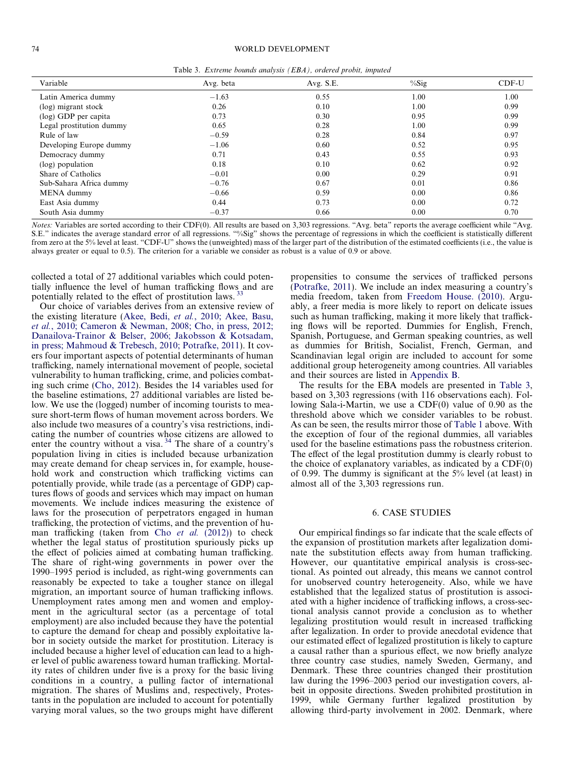Table 3. Extreme bounds analysis (EBA), ordered probit, imputed

| Variable                 | Avg. beta | Avg. $S.E.$ | $\%$ Sig | CDF-U |
|--------------------------|-----------|-------------|----------|-------|
| Latin America dummy      | $-1.63$   | 0.55        | 1.00     | 1.00  |
| (log) migrant stock      | 0.26      | 0.10        | 1.00     | 0.99  |
| (log) GDP per capita     | 0.73      | 0.30        | 0.95     | 0.99  |
| Legal prostitution dummy | 0.65      | 0.28        | 1.00     | 0.99  |
| Rule of law              | $-0.59$   | 0.28        | 0.84     | 0.97  |
| Developing Europe dummy  | $-1.06$   | 0.60        | 0.52     | 0.95  |
| Democracy dummy          | 0.71      | 0.43        | 0.55     | 0.93  |
| (log) population         | 0.18      | 0.10        | 0.62     | 0.92  |
| Share of Catholics       | $-0.01$   | 0.00        | 0.29     | 0.91  |
| Sub-Sahara Africa dummy  | $-0.76$   | 0.67        | 0.01     | 0.86  |
| MENA dummy               | $-0.66$   | 0.59        | 0.00     | 0.86  |
| East Asia dummy          | 0.44      | 0.73        | 0.00     | 0.72  |
| South Asia dummy         | $-0.37$   | 0.66        | 0.00     | 0.70  |

Notes: Variables are sorted according to their CDF(0). All results are based on 3,303 regressions. "Avg. beta" reports the average coefficient while "Avg. S.E." indicates the average standard error of all regressions. "%Sig" shows the percentage of regressions in which the coefficient is statistically different from zero at the 5% level at least. "CDF-U" shows the (unweighted) mass of the larger part of the distribution of the estimated coefficients (i.e., the value is always greater or equal to 0.5). The criterion for a variable we consider as robust is a value of 0.9 or above.

collected a total of 27 additional variables which could potentially influence the level of human trafficking flows and are potentially related to the effect of prostitution laws.

Our choice of variables derives from an extensive review of the existing literature (Akee, Bedi, et al.[, 2010; Akee, Basu,](#page-11-0) et al.[, 2010; Cameron & Newman, 2008; Cho, in press, 2012;](#page-11-0) [Danailova-Trainor & Belser, 2006; Jakobsson & Kotsadam,](#page-11-0) [in press; Mahmoud & Trebesch, 2010; Potrafke, 2011\)](#page-11-0). It covers four important aspects of potential determinants of human trafficking, namely international movement of people, societal vulnerability to human trafficking, crime, and policies combating such crime ([Cho, 2012\)](#page-11-0). Besides the 14 variables used for the baseline estimations, 27 additional variables are listed below. We use the (logged) number of incoming tourists to measure short-term flows of human movement across borders. We also include two measures of a country's visa restrictions, indicating the number of countries whose citizens are allowed to enter the country without a visa.<sup>34</sup> The share of a country's population living in cities is included because urbanization may create demand for cheap services in, for example, household work and construction which trafficking victims can potentially provide, while trade (as a percentage of GDP) captures flows of goods and services which may impact on human movements. We include indices measuring the existence of laws for the prosecution of perpetrators engaged in human trafficking, the protection of victims, and the prevention of human trafficking (taken from Cho et al. [\(2012\)\)](#page-11-0) to check whether the legal status of prostitution spuriously picks up the effect of policies aimed at combating human trafficking. The share of right-wing governments in power over the 1990–1995 period is included, as right-wing governments can reasonably be expected to take a tougher stance on illegal migration, an important source of human trafficking inflows. Unemployment rates among men and women and employment in the agricultural sector (as a percentage of total employment) are also included because they have the potential to capture the demand for cheap and possibly exploitative labor in society outside the market for prostitution. Literacy is included because a higher level of education can lead to a higher level of public awareness toward human trafficking. Mortality rates of children under five is a proxy for the basic living conditions in a country, a pulling factor of international migration. The shares of Muslims and, respectively, Protestants in the population are included to account for potentially varying moral values, so the two groups might have different propensities to consume the services of trafficked persons ([Potrafke, 2011\)](#page-11-0). We include an index measuring a country's media freedom, taken from [Freedom House. \(2010\).](#page-11-0) Arguably, a freer media is more likely to report on delicate issues such as human trafficking, making it more likely that trafficking flows will be reported. Dummies for English, French, Spanish, Portuguese, and German speaking countries, as well as dummies for British, Socialist, French, German, and Scandinavian legal origin are included to account for some additional group heterogeneity among countries. All variables and their sources are listed in Appendix B.

The results for the EBA models are presented in Table 3, based on 3,303 regressions (with 116 observations each). Following Sala-i-Martin, we use a CDF(0) value of 0.90 as the threshold above which we consider variables to be robust. As can be seen, the results mirror those of [Table 1](#page-4-0) above. With the exception of four of the regional dummies, all variables used for the baseline estimations pass the robustness criterion. The effect of the legal prostitution dummy is clearly robust to the choice of explanatory variables, as indicated by a CDF(0) of 0.99. The dummy is significant at the 5% level (at least) in almost all of the 3,303 regressions run.

#### 6. CASE STUDIES

Our empirical findings so far indicate that the scale effects of the expansion of prostitution markets after legalization dominate the substitution effects away from human trafficking. However, our quantitative empirical analysis is cross-sectional. As pointed out already, this means we cannot control for unobserved country heterogeneity. Also, while we have established that the legalized status of prostitution is associated with a higher incidence of trafficking inflows, a cross-sectional analysis cannot provide a conclusion as to whether legalizing prostitution would result in increased trafficking after legalization. In order to provide anecdotal evidence that our estimated effect of legalized prostitution is likely to capture a causal rather than a spurious effect, we now briefly analyze three country case studies, namely Sweden, Germany, and Denmark. These three countries changed their prostitution law during the 1996–2003 period our investigation covers, albeit in opposite directions. Sweden prohibited prostitution in 1999, while Germany further legalized prostitution by allowing third-party involvement in 2002. Denmark, where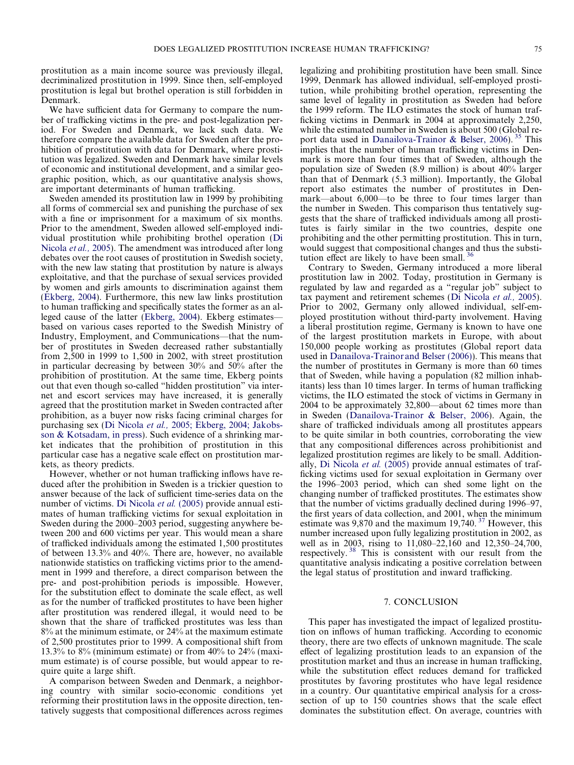prostitution as a main income source was previously illegal, decriminalized prostitution in 1999. Since then, self-employed prostitution is legal but brothel operation is still forbidden in Denmark.

We have sufficient data for Germany to compare the number of trafficking victims in the pre- and post-legalization period. For Sweden and Denmark, we lack such data. We therefore compare the available data for Sweden after the prohibition of prostitution with data for Denmark, where prostitution was legalized. Sweden and Denmark have similar levels of economic and institutional development, and a similar geographic position, which, as our quantitative analysis shows, are important determinants of human trafficking.

Sweden amended its prostitution law in 1999 by prohibiting all forms of commercial sex and punishing the purchase of sex with a fine or imprisonment for a maximum of six months. Prior to the amendment, Sweden allowed self-employed individual prostitution while prohibiting brothel operation [\(Di](#page-11-0) [Nicola](#page-11-0) et al., [2005\)](#page-11-0). The amendment was introduced after long debates over the root causes of prostitution in Swedish society, with the new law stating that prostitution by nature is always exploitative, and that the purchase of sexual services provided by women and girls amounts to discrimination against them ([Ekberg, 2004\)](#page-11-0). Furthermore, this new law links prostitution to human trafficking and specifically states the former as an alleged cause of the latter ([Ekberg, 2004](#page-11-0)). Ekberg estimates based on various cases reported to the Swedish Ministry of Industry, Employment, and Communications—that the number of prostitutes in Sweden decreased rather substantially from 2,500 in 1999 to 1,500 in 2002, with street prostitution in particular decreasing by between 30% and 50% after the prohibition of prostitution. At the same time, Ekberg points out that even though so-called "hidden prostitution" via internet and escort services may have increased, it is generally agreed that the prostitution market in Sweden contracted after prohibition, as a buyer now risks facing criminal charges for purchasing sex ([Di Nicola](#page-11-0) et al., [2005; Ekberg, 2004; Jakobs](#page-11-0)[son & Kotsadam, in press](#page-11-0)). Such evidence of a shrinking market indicates that the prohibition of prostitution in this particular case has a negative scale effect on prostitution markets, as theory predicts.

However, whether or not human trafficking inflows have reduced after the prohibition in Sweden is a trickier question to answer because of the lack of sufficient time-series data on the number of victims. [Di Nicola](#page-11-0) et al. (2005) provide annual estimates of human trafficking victims for sexual exploitation in Sweden during the 2000–2003 period, suggesting anywhere between 200 and 600 victims per year. This would mean a share of trafficked individuals among the estimated 1,500 prostitutes of between 13.3% and 40%. There are, however, no available nationwide statistics on trafficking victims prior to the amendment in 1999 and therefore, a direct comparison between the pre- and post-prohibition periods is impossible. However, for the substitution effect to dominate the scale effect, as well as for the number of trafficked prostitutes to have been higher after prostitution was rendered illegal, it would need to be shown that the share of trafficked prostitutes was less than 8% at the minimum estimate, or 24% at the maximum estimate of 2,500 prostitutes prior to 1999. A compositional shift from 13.3% to 8% (minimum estimate) or from 40% to 24% (maximum estimate) is of course possible, but would appear to require quite a large shift.

A comparison between Sweden and Denmark, a neighboring country with similar socio-economic conditions yet reforming their prostitution laws in the opposite direction, tentatively suggests that compositional differences across regimes legalizing and prohibiting prostitution have been small. Since 1999, Denmark has allowed individual, self-employed prostitution, while prohibiting brothel operation, representing the same level of legality in prostitution as Sweden had before the 1999 reform. The ILO estimates the stock of human trafficking victims in Denmark in 2004 at approximately 2,250, while the estimated number in Sweden is about 500 (Global re-port data used in [Danailova-Trainor & Belser, 2006\)](#page-11-0).<sup>35</sup> This implies that the number of human trafficking victims in Denmark is more than four times that of Sweden, although the population size of Sweden (8.9 million) is about 40% larger than that of Denmark (5.3 million). Importantly, the Global report also estimates the number of prostitutes in Denmark—about 6,000—to be three to four times larger than the number in Sweden. This comparison thus tentatively suggests that the share of trafficked individuals among all prostitutes is fairly similar in the two countries, despite one prohibiting and the other permitting prostitution. This in turn, would suggest that compositional changes and thus the substitution effect are likely to have been small. <sup>36</sup>

Contrary to Sweden, Germany introduced a more liberal prostitution law in 2002. Today, prostitution in Germany is regulated by law and regarded as a "regular job" subject to tax payment and retirement schemes ([Di Nicola](#page-11-0) et al., [2005\)](#page-11-0). Prior to 2002, Germany only allowed individual, self-employed prostitution without third-party involvement. Having a liberal prostitution regime, Germany is known to have one of the largest prostitution markets in Europe, with about 150,000 people working as prostitutes (Global report data used in [Danailova-Trainor and Belser \(2006\)\)](#page-11-0). This means that the number of prostitutes in Germany is more than 60 times that of Sweden, while having a population (82 million inhabitants) less than 10 times larger. In terms of human trafficking victims, the ILO estimated the stock of victims in Germany in 2004 to be approximately 32,800—about 62 times more than in Sweden ([Danailova-Trainor & Belser, 2006\)](#page-11-0). Again, the share of trafficked individuals among all prostitutes appears to be quite similar in both countries, corroborating the view that any compositional differences across prohibitionist and legalized prostitution regimes are likely to be small. Additionally, [Di Nicola](#page-11-0) et al. (2005) provide annual estimates of trafficking victims used for sexual exploitation in Germany over the 1996–2003 period, which can shed some light on the changing number of trafficked prostitutes. The estimates show that the number of victims gradually declined during 1996–97, the first years of data collection, and 2001, when the minimum estimate was 9,870 and the maximum 19,740. <sup>37</sup> However, this number increased upon fully legalizing prostitution in 2002, as well as in 2003, rising to 11,080–22,160 and 12,350–24,700, respectively. <sup>38</sup> This is consistent with our result from the quantitative analysis indicating a positive correlation between the legal status of prostitution and inward trafficking.

#### 7. CONCLUSION

This paper has investigated the impact of legalized prostitution on inflows of human trafficking. According to economic theory, there are two effects of unknown magnitude. The scale effect of legalizing prostitution leads to an expansion of the prostitution market and thus an increase in human trafficking, while the substitution effect reduces demand for trafficked prostitutes by favoring prostitutes who have legal residence in a country. Our quantitative empirical analysis for a crosssection of up to 150 countries shows that the scale effect dominates the substitution effect. On average, countries with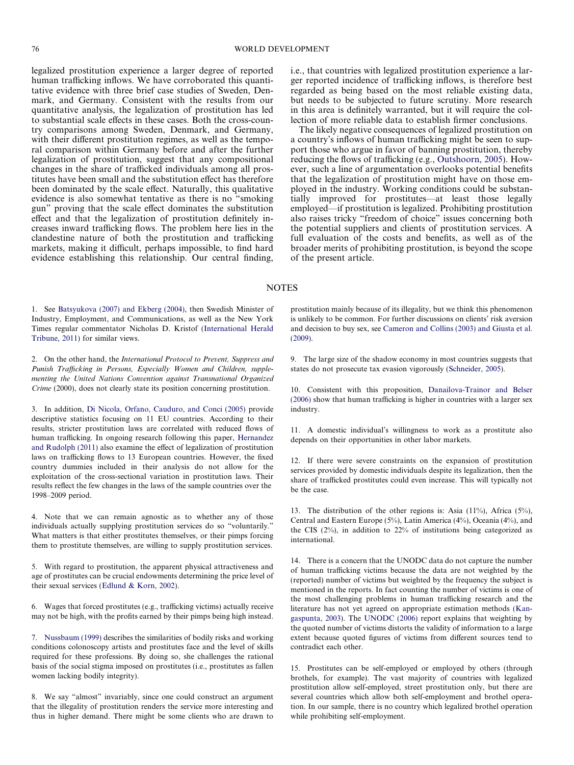legalized prostitution experience a larger degree of reported human trafficking inflows. We have corroborated this quantitative evidence with three brief case studies of Sweden, Denmark, and Germany. Consistent with the results from our quantitative analysis, the legalization of prostitution has led to substantial scale effects in these cases. Both the cross-country comparisons among Sweden, Denmark, and Germany, with their different prostitution regimes, as well as the temporal comparison within Germany before and after the further legalization of prostitution, suggest that any compositional changes in the share of trafficked individuals among all prostitutes have been small and the substitution effect has therefore been dominated by the scale effect. Naturally, this qualitative evidence is also somewhat tentative as there is no "smoking gun" proving that the scale effect dominates the substitution effect and that the legalization of prostitution definitely increases inward trafficking flows. The problem here lies in the clandestine nature of both the prostitution and trafficking markets, making it difficult, perhaps impossible, to find hard evidence establishing this relationship. Our central finding, i.e., that countries with legalized prostitution experience a larger reported incidence of trafficking inflows, is therefore best regarded as being based on the most reliable existing data, but needs to be subjected to future scrutiny. More research in this area is definitely warranted, but it will require the collection of more reliable data to establish firmer conclusions.

The likely negative consequences of legalized prostitution on a country's inflows of human trafficking might be seen to support those who argue in favor of banning prostitution, thereby reducing the flows of trafficking (e.g., [Outshoorn, 2005\)](#page-11-0). However, such a line of argumentation overlooks potential benefits that the legalization of prostitution might have on those employed in the industry. Working conditions could be substantially improved for prostitutes—at least those legally employed—if prostitution is legalized. Prohibiting prostitution also raises tricky "freedom of choice" issues concerning both the potential suppliers and clients of prostitution services. A full evaluation of the costs and benefits, as well as of the broader merits of prohibiting prostitution, is beyond the scope of the present article.

#### **NOTES**

1. See [Batsyukova \(2007\) and Ekberg \(2004\),](#page-11-0) then Swedish Minister of Industry, Employment, and Communications, as well as the New York Times regular commentator Nicholas D. Kristof ([International Herald](#page-11-0) [Tribune, 2011\)](#page-11-0) for similar views.

2. On the other hand, the International Protocol to Prevent, Suppress and Punish Trafficking in Persons, Especially Women and Children, supplementing the United Nations Convention against Transnational Organized Crime (2000), does not clearly state its position concerning prostitution.

3. In addition, [Di Nicola, Orfano, Cauduro, and Conci \(2005\)](#page-11-0) provide descriptive statistics focusing on 11 EU countries. According to their results, stricter prostitution laws are correlated with reduced flows of human trafficking. In ongoing research following this paper, [Hernandez](#page-11-0) [and Rudolph \(2011\)](#page-11-0) also examine the effect of legalization of prostitution laws on trafficking flows to 13 European countries. However, the fixed country dummies included in their analysis do not allow for the exploitation of the cross-sectional variation in prostitution laws. Their results reflect the few changes in the laws of the sample countries over the 1998–2009 period.

4. Note that we can remain agnostic as to whether any of those individuals actually supplying prostitution services do so "voluntarily." What matters is that either prostitutes themselves, or their pimps forcing them to prostitute themselves, are willing to supply prostitution services.

5. With regard to prostitution, the apparent physical attractiveness and age of prostitutes can be crucial endowments determining the price level of their sexual services ([Edlund & Korn, 2002](#page-11-0)).

6. Wages that forced prostitutes (e.g., trafficking victims) actually receive may not be high, with the profits earned by their pimps being high instead.

7. [Nussbaum \(1999\)](#page-11-0) describes the similarities of bodily risks and working conditions colonoscopy artists and prostitutes face and the level of skills required for these professions. By doing so, she challenges the rational basis of the social stigma imposed on prostitutes (i.e., prostitutes as fallen women lacking bodily integrity).

8. We say "almost" invariably, since one could construct an argument that the illegality of prostitution renders the service more interesting and thus in higher demand. There might be some clients who are drawn to prostitution mainly because of its illegality, but we think this phenomenon is unlikely to be common. For further discussions on clients' risk aversion and decision to buy sex, see [Cameron and Collins \(2003\) and Giusta et al.](#page-11-0) [\(2009\).](#page-11-0)

9. The large size of the shadow economy in most countries suggests that states do not prosecute tax evasion vigorously ([Schneider, 2005\)](#page-12-0).

10. Consistent with this proposition, [Danailova-Trainor and Belser](#page-11-0) [\(2006\)](#page-11-0) show that human trafficking is higher in countries with a larger sex industry.

11. A domestic individual's willingness to work as a prostitute also depends on their opportunities in other labor markets.

12. If there were severe constraints on the expansion of prostitution services provided by domestic individuals despite its legalization, then the share of trafficked prostitutes could even increase. This will typically not be the case.

13. The distribution of the other regions is: Asia (11%), Africa (5%), Central and Eastern Europe (5%), Latin America (4%), Oceania (4%), and the CIS (2%), in addition to 22% of institutions being categorized as international.

14. There is a concern that the UNODC data do not capture the number of human trafficking victims because the data are not weighted by the (reported) number of victims but weighted by the frequency the subject is mentioned in the reports. In fact counting the number of victims is one of the most challenging problems in human trafficking research and the literature has not yet agreed on appropriate estimation methods [\(Kan](#page-11-0)[gaspunta, 2003\)](#page-11-0). The [UNODC \(2006\)](#page-12-0) report explains that weighting by the quoted number of victims distorts the validity of information to a large extent because quoted figures of victims from different sources tend to contradict each other.

15. Prostitutes can be self-employed or employed by others (through brothels, for example). The vast majority of countries with legalized prostitution allow self-employed, street prostitution only, but there are several countries which allow both self-employment and brothel operation. In our sample, there is no country which legalized brothel operation while prohibiting self-employment.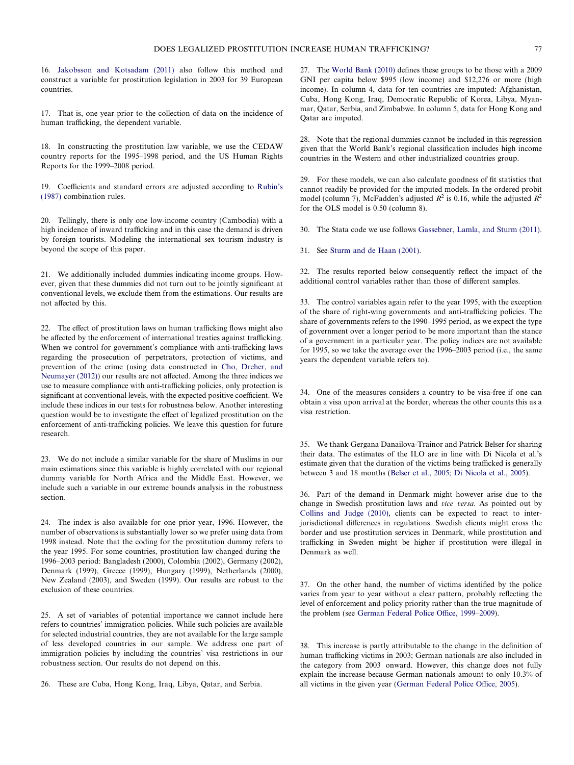16. [Jakobsson and Kotsadam \(2011\)](#page-11-0) also follow this method and construct a variable for prostitution legislation in 2003 for 39 European countries.

17. That is, one year prior to the collection of data on the incidence of human trafficking, the dependent variable.

18. In constructing the prostitution law variable, we use the CEDAW country reports for the 1995–1998 period, and the US Human Rights Reports for the 1999–2008 period.

19. Coefficients and standard errors are adjusted according to [Rubin's](#page-11-0) [\(1987\)](#page-11-0) combination rules.

20. Tellingly, there is only one low-income country (Cambodia) with a high incidence of inward trafficking and in this case the demand is driven by foreign tourists. Modeling the international sex tourism industry is beyond the scope of this paper.

21. We additionally included dummies indicating income groups. However, given that these dummies did not turn out to be jointly significant at conventional levels, we exclude them from the estimations. Our results are not affected by this.

22. The effect of prostitution laws on human trafficking flows might also be affected by the enforcement of international treaties against trafficking. When we control for government's compliance with anti-trafficking laws regarding the prosecution of perpetrators, protection of victims, and prevention of the crime (using data constructed in [Cho, Dreher, and](#page-11-0) [Neumayer \(2012\)](#page-11-0)) our results are not affected. Among the three indices we use to measure compliance with anti-trafficking policies, only protection is significant at conventional levels, with the expected positive coefficient. We include these indices in our tests for robustness below. Another interesting question would be to investigate the effect of legalized prostitution on the enforcement of anti-trafficking policies. We leave this question for future research.

23. We do not include a similar variable for the share of Muslims in our main estimations since this variable is highly correlated with our regional dummy variable for North Africa and the Middle East. However, we include such a variable in our extreme bounds analysis in the robustness section.

24. The index is also available for one prior year, 1996. However, the number of observations is substantially lower so we prefer using data from 1998 instead. Note that the coding for the prostitution dummy refers to the year 1995. For some countries, prostitution law changed during the 1996–2003 period: Bangladesh (2000), Colombia (2002), Germany (2002), Denmark (1999), Greece (1999), Hungary (1999), Netherlands (2000), New Zealand (2003), and Sweden (1999). Our results are robust to the exclusion of these countries.

25. A set of variables of potential importance we cannot include here refers to countries' immigration policies. While such policies are available for selected industrial countries, they are not available for the large sample of less developed countries in our sample. We address one part of immigration policies by including the countries' visa restrictions in our robustness section. Our results do not depend on this.

26. These are Cuba, Hong Kong, Iraq, Libya, Qatar, and Serbia.

27. The [World Bank \(2010\)](#page-12-0) defines these groups to be those with a 2009 GNI per capita below \$995 (low income) and \$12,276 or more (high income). In column 4, data for ten countries are imputed: Afghanistan, Cuba, Hong Kong, Iraq, Democratic Republic of Korea, Libya, Myanmar, Qatar, Serbia, and Zimbabwe. In column 5, data for Hong Kong and Qatar are imputed.

28. Note that the regional dummies cannot be included in this regression given that the World Bank's regional classification includes high income countries in the Western and other industrialized countries group.

29. For these models, we can also calculate goodness of fit statistics that cannot readily be provided for the imputed models. In the ordered probit model (column 7), McFadden's adjusted  $R^2$  is 0.16, while the adjusted  $R^2$ for the OLS model is 0.50 (column 8).

30. The Stata code we use follows [Gassebner, Lamla, and Sturm \(2011\)](#page-11-0).

31. See [Sturm and de Haan \(2001\)](#page-12-0).

32. The results reported below consequently reflect the impact of the additional control variables rather than those of different samples.

33. The control variables again refer to the year 1995, with the exception of the share of right-wing governments and anti-trafficking policies. The share of governments refers to the 1990–1995 period, as we expect the type of government over a longer period to be more important than the stance of a government in a particular year. The policy indices are not available for 1995, so we take the average over the 1996–2003 period (i.e., the same years the dependent variable refers to).

34. One of the measures considers a country to be visa-free if one can obtain a visa upon arrival at the border, whereas the other counts this as a visa restriction.

35. We thank Gergana Danailova-Trainor and Patrick Belser for sharing their data. The estimates of the ILO are in line with Di Nicola et al.'s estimate given that the duration of the victims being trafficked is generally between 3 and 18 months [\(Belser et al., 2005; Di Nicola et al., 2005\)](#page-11-0).

36. Part of the demand in Denmark might however arise due to the change in Swedish prostitution laws and vice versa. As pointed out by [Collins and Judge \(2010\)](#page-11-0), clients can be expected to react to interjurisdictional differences in regulations. Swedish clients might cross the border and use prostitution services in Denmark, while prostitution and trafficking in Sweden might be higher if prostitution were illegal in Denmark as well.

37. On the other hand, the number of victims identified by the police varies from year to year without a clear pattern, probably reflecting the level of enforcement and policy priority rather than the true magnitude of the problem (see [German Federal Police Office, 1999–2009](#page-11-0)).

38. This increase is partly attributable to the change in the definition of human trafficking victims in 2003; German nationals are also included in the category from 2003 onward. However, this change does not fully explain the increase because German nationals amount to only 10.3% of all victims in the given year ([German Federal Police Office, 2005](#page-11-0)).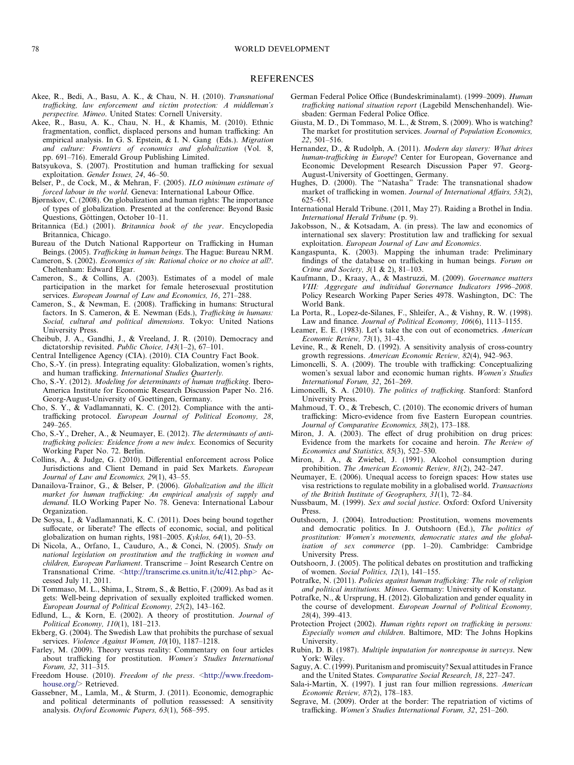<span id="page-11-0"></span>78 WORLD DEVELOPMENT

#### REFERENCES

- Akee, R., Bedi, A., Basu, A. K., & Chau, N. H. (2010). Transnational trafficking, law enforcement and victim protection: A middleman's perspective. Mimeo. United States: Cornell University.
- Akee, R., Basu, A. K., Chau, N. H., & Khamis, M. (2010). Ethnic fragmentation, conflict, displaced persons and human trafficking: An empirical analysis. In G. S. Epstein, & I. N. Gang (Eds.). Migration and culture: Frontiers of economics and globalization (Vol. 8, pp. 691–716). Emerald Group Publishing Limited.
- Batsyukova, S. (2007). Prostitution and human trafficking for sexual exploitation. Gender Issues, 24, 46–50.
- Belser, P., de Cock, M., & Mehran, F. (2005). ILO minimum estimate of forced labour in the world. Geneva: International Labour Office.
- Bjørnskov, C. (2008). On globalization and human rights: The importance of types of globalization. Presented at the conference: Beyond Basic Questions, Göttingen, October 10–11.
- Britannica (Ed.) (2001). Britannica book of the year. Encyclopedia Britannica, Chicago.
- Bureau of the Dutch National Rapporteur on Trafficking in Human Beings. (2005). Trafficking in human beings. The Hague: Bureau NRM.
- Cameron, S. (2002). Economics of sin: Rational choice or no choice at all?. Cheltenham: Edward Elgar.
- Cameron, S., & Collins, A. (2003). Estimates of a model of male participation in the market for female heterosexual prostitution services. European Journal of Law and Economics, 16, 271-288.
- Cameron, S., & Newman, E. (2008). Trafficking in humans: Structural factors. In S. Cameron, & E. Newman (Eds.), Trafficking in humans: Social, cultural and political dimensions. Tokyo: United Nations University Press.
- Cheibub, J. A., Gandhi, J., & Vreeland, J. R. (2010). Democracy and dictatorship revisited. Public Choice, 143(1–2), 67–101.
- Central Intelligence Agency (CIA). (2010). CIA Country Fact Book.
- Cho, S.-Y. (in press). Integrating equality: Globalization, women's rights, and human trafficking. International Studies Quarterly.
- Cho, S.-Y. (2012). Modeling for determinants of human trafficking. Ibero-America Institute for Economic Research Discussion Paper No. 216. Georg-August-University of Goettingen, Germany.
- Cho, S. Y., & Vadlamannati, K. C. (2012). Compliance with the antitrafficking protocol. European Journal of Political Economy, 28, 249–265.
- Cho, S.-Y., Dreher, A., & Neumayer, E. (2012). The determinants of antitrafficking policies: Evidence from a new index. Economics of Security Working Paper No. 72. Berlin.
- Collins, A., & Judge, G. (2010). Differential enforcement across Police Jurisdictions and Client Demand in paid Sex Markets. European Journal of Law and Economics, 29(1), 43-55.
- Danailova-Trainor, G., & Belser, P. (2006). Globalization and the illicit market for human trafficking: An empirical analysis of supply and demand. ILO Working Paper No. 78. Geneva: International Labour Organization.
- De Soysa, I., & Vadlamannati, K. C. (2011). Does being bound together suffocate, or liberate? The effects of economic, social, and political globalization on human rights, 1981–2005. Kyklos, 64(1), 20–53.
- Di Nicola, A., Orfano, I., Cauduro, A., & Conci, N. (2005). Study on national legislation on prostitution and the trafficking in women and children, European Parliament. Transcrime – Joint Research Centre on Transnational Crime. [<http://transcrime.cs.unitn.it/tc/412.php>](http://www.transcrime.cs.unitn.it/tc/412.php) Accessed July 11, 2011.
- Di Tommaso, M. L., Shima, I., Strøm, S., & Bettio, F. (2009). As bad as it gets: Well-being deprivation of sexually exploited trafficked women. European Journal of Political Economy, 25(2), 143–162.
- Edlund, L., & Korn, E. (2002). A theory of prostitution. Journal of Political Economy, 110(1), 181–213.
- Ekberg, G. (2004). The Swedish Law that prohibits the purchase of sexual services. Violence Against Women, 10(10), 1187–1218.
- Farley, M. (2009). Theory versus reality: Commentary on four articles about trafficking for prostitution. Women's Studies International Forum, 32, 311–315.
- Freedom House. (2010). Freedom of the press. <[http://www.freedom](http://www.freedomhouse.org/)[house.org/>](http://www.freedomhouse.org/) Retrieved.
- Gassebner, M., Lamla, M., & Sturm, J. (2011). Economic, demographic and political determinants of pollution reassessed: A sensitivity analysis. Oxford Economic Papers, 63(1), 568–595.
- German Federal Police Office (Bundeskriminalamt). (1999–2009). Human trafficking national situation report (Lagebild Menschenhandel). Wiesbaden: German Federal Police Office.
- Giusta, M. D., Di Tommaso, M. L., & Strøm, S. (2009). Who is watching? The market for prostitution services. Journal of Population Economics, 22, 501–516.
- Hernandez, D., & Rudolph, A. (2011). Modern day slavery: What drives human-trafficking in Europe? Center for European, Governance and Economic Development Research Discussion Paper 97. Georg-August-University of Goettingen, Germany.
- Hughes, D. (2000). The "Natasha" Trade: The transnational shadow market of trafficking in women. Journal of International Affairs, 53(2), 625–651.
- International Herald Tribune. (2011, May 27). Raiding a Brothel in India. International Herald Tribune (p. 9).
- Jakobsson, N., & Kotsadam, A. (in press). The law and economics of international sex slavery: Prostitution law and trafficking for sexual exploitation. European Journal of Law and Economics.
- Kangaspunta, K. (2003). Mapping the inhuman trade: Preliminary findings of the database on trafficking in human beings. Forum on Crime and Society, 3(1 & 2), 81–103.
- Kaufmann, D., Kraay, A., & Mastruzzi, M. (2009). Governance matters VIII: Aggregate and individual Governance Indicators 1996–2008. Policy Research Working Paper Series 4978. Washington, DC: The World Bank.
- La Porta, R., Lopez-de-Silanes, F., Shleifer, A., & Vishny, R. W. (1998). Law and finance. Journal of Political Economy, 106(6), 1113–1155.
- Leamer, E. E. (1983). Let's take the con out of econometrics. American Economic Review, 73(1), 31–43.
- Levine, R., & Renelt, D. (1992). A sensitivity analysis of cross-country growth regressions. American Economic Review, 82(4), 942–963.
- Limoncelli, S. A. (2009). The trouble with trafficking: Conceptualizing women's sexual labor and economic human rights. Women's Studies International Forum, 32, 261–269.
- Limoncelli, S. A. (2010). The politics of trafficking. Stanford: Stanford University Press.
- Mahmoud, T. O., & Trebesch, C. (2010). The economic drivers of human trafficking: Micro-evidence from five Eastern European countries. Journal of Comparative Economics, 38(2), 173–188.
- Miron, J. A. (2003). The effect of drug prohibition on drug prices: Evidence from the markets for cocaine and heroin. The Review of Economics and Statistics, 85(3), 522–530.
- Miron, J. A., & Zwiebel, J. (1991). Alcohol consumption during prohibition. The American Economic Review, 81(2), 242–247.
- Neumayer, E. (2006). Unequal access to foreign spaces: How states use visa restrictions to regulate mobility in a globalised world. Transactions of the British Institute of Geographers, 31(1), 72–84.
- Nussbaum, M. (1999). Sex and social justice. Oxford: Oxford University Press.
- Outshoorn, J. (2004). Introduction: Prostitution, womens movements and democratic politics. In J. Outshoorn (Ed.), The politics of prostitution: Women's movements, democratic states and the globalisation of sex commerce (pp. 1–20). Cambridge: Cambridge University Press.
- Outshoorn, J. (2005). The political debates on prostitution and trafficking of women. Social Politics, 12(1), 141–155.
- Potrafke, N. (2011). Policies against human trafficking: The role of religion and political institutions. Mimeo. Germany: University of Konstanz.
- Potrafke, N., & Ursprung, H. (2012). Globalization and gender equality in the course of development. European Journal of Political Economy, 28(4), 399–413.
- Protection Project (2002). Human rights report on trafficking in persons: Especially women and children. Baltimore, MD: The Johns Hopkins University.
- Rubin, D. B. (1987). Multiple imputation for nonresponse in surveys. New York: Wiley.
- Saguy, A. C. (1999). Puritanism and promiscuity? Sexual attitudes in France and the United States. Comparative Social Research, 18, 227–247.
- Sala-i-Martin, X. (1997). I just ran four million regressions. American Economic Review, 87(2), 178–183.
- Segrave, M. (2009). Order at the border: The repatriation of victims of trafficking. Women's Studies International Forum, 32, 251–260.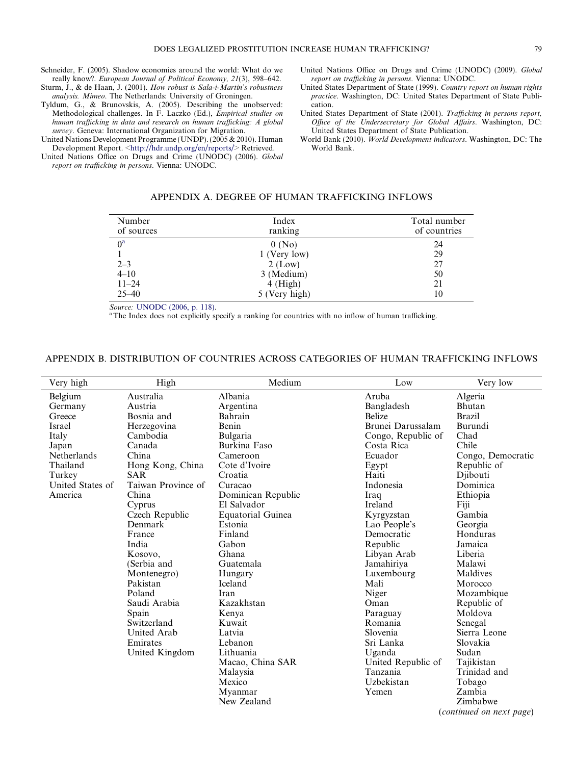<span id="page-12-0"></span>Schneider, F. (2005). Shadow economies around the world: What do we really know?. European Journal of Political Economy, 21(3), 598–642.

- Sturm, J., & de Haan, J. (2001). How robust is Sala-i-Martin's robustness analysis. Mimeo. The Netherlands: University of Groningen.
- Tyldum, G., & Brunovskis, A. (2005). Describing the unobserved: Methodological challenges. In F. Laczko (Ed.), Empirical studies on human trafficking in data and research on human trafficking: A global survey. Geneva: International Organization for Migration.
- United Nations Development Programme (UNDP). (2005 & 2010). Human Development Report. [<http://hdr.undp.org/en/reports/](http://www.hdr.undp.org/en/reports/)>Retrieved.
- United Nations Office on Drugs and Crime (UNODC) (2006). Global report on trafficking in persons. Vienna: UNODC.
- United Nations Office on Drugs and Crime (UNODC) (2009). Global report on trafficking in persons. Vienna: UNODC.
- United States Department of State (1999). Country report on human rights practice. Washington, DC: United States Department of State Publication.
- United States Department of State (2001). Trafficking in persons report, Office of the Undersecretary for Global Affairs. Washington, DC: United States Department of State Publication.
- World Bank (2010). World Development indicators. Washington, DC: The World Bank.

| Number<br>of sources | Index<br>ranking | Total number<br>of countries |
|----------------------|------------------|------------------------------|
| $0^a$                | 0(No)            | 24                           |
|                      | 1 (Very low)     | 29                           |
| $2 - 3$              | $2$ (Low)        | 27                           |
| $4 - 10$             | 3 (Medium)       | 50                           |
| $11 - 24$            | $4$ (High)       | 21                           |
| $25 - 40$            | 5 (Very high)    | 10                           |

## APPENDIX A. DEGREE OF HUMAN TRAFFICKING INFLOWS

Source: UNODC (2006, p. 118).<br><sup>a</sup>The Index does not explicitly specify a ranking for countries with no inflow of human trafficking.

## APPENDIX B. DISTRIBUTION OF COUNTRIES ACROSS CATEGORIES OF HUMAN TRAFFICKING INFLOWS

| Very high        | High               | Medium             | Low                | Very low                 |
|------------------|--------------------|--------------------|--------------------|--------------------------|
| Belgium          | Australia          | Albania            | Aruba              | Algeria                  |
| Germany          | Austria            | Argentina          | Bangladesh         | Bhutan                   |
| Greece           | Bosnia and         | Bahrain            | <b>Belize</b>      | <b>Brazil</b>            |
| <b>Israel</b>    | Herzegovina        | Benin              | Brunei Darussalam  | Burundi                  |
| Italy            | Cambodia           | Bulgaria           | Congo, Republic of | Chad                     |
| Japan            | Canada             | Burkina Faso       | Costa Rica         | Chile                    |
| Netherlands      | China              | Cameroon           | Ecuador            | Congo, Democratic        |
| Thailand         | Hong Kong, China   | Cote d'Ivoire      | Egypt              | Republic of              |
| Turkey           | <b>SAR</b>         | Croatia            | Haiti              | Djibouti                 |
| United States of | Taiwan Province of | Curacao            | Indonesia          | Dominica                 |
| America          | China              | Dominican Republic | Iraq               | Ethiopia                 |
|                  | Cyprus             | El Salvador        | Ireland            | Fiji                     |
|                  | Czech Republic     | Equatorial Guinea  | Kyrgyzstan         | Gambia                   |
|                  | Denmark            | Estonia            | Lao People's       | Georgia                  |
|                  | France             | Finland            | Democratic         | Honduras                 |
|                  | India              | Gabon              | Republic           | Jamaica                  |
|                  | Kosovo,            | Ghana              | Libyan Arab        | Liberia                  |
|                  | (Serbia and        | Guatemala          | Jamahiriya         | Malawi                   |
|                  | Montenegro)        | Hungary            | Luxembourg         | Maldives                 |
|                  | Pakistan           | Iceland            | Mali               | Morocco                  |
|                  | Poland             | Iran               | Niger              | Mozambique               |
|                  | Saudi Arabia       | Kazakhstan         | Oman               | Republic of              |
|                  | Spain              | Kenya              | Paraguay           | Moldova                  |
|                  | Switzerland        | Kuwait             | Romania            | Senegal                  |
|                  | <b>United Arab</b> | Latvia             | Slovenia           | Sierra Leone             |
|                  | Emirates           | Lebanon            | Sri Lanka          | Slovakia                 |
|                  | United Kingdom     | Lithuania          | Uganda             | Sudan                    |
|                  |                    | Macao, China SAR   | United Republic of | Tajikistan               |
|                  |                    | Malaysia           | Tanzania           | Trinidad and             |
|                  |                    | Mexico             | Uzbekistan         | Tobago                   |
|                  |                    | Myanmar            | Yemen              | Zambia                   |
|                  |                    | New Zealand        |                    | Zimbabwe                 |
|                  |                    |                    |                    | (continued on next page) |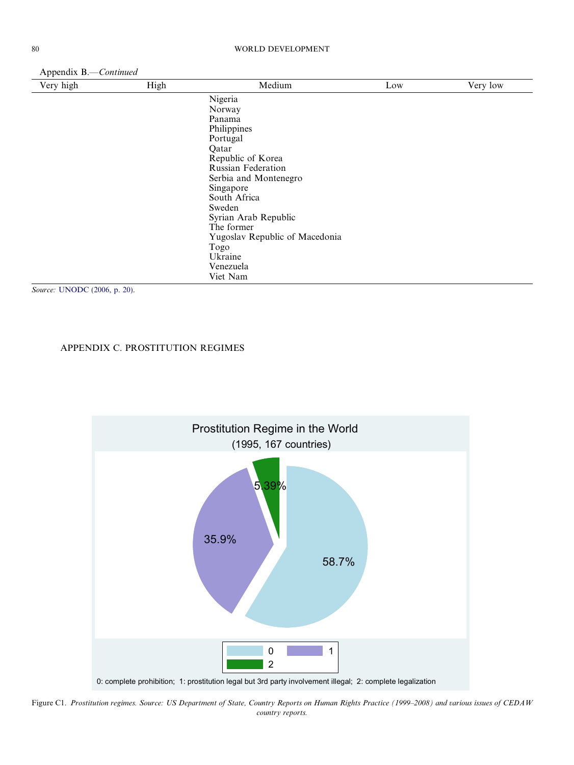#### <span id="page-13-0"></span>80 WORLD DEVELOPMENT

Appendix B.—Continued

| Very high | High | Medium                         | Low | Very low |
|-----------|------|--------------------------------|-----|----------|
|           |      | Nigeria                        |     |          |
|           |      | Norway                         |     |          |
|           |      | Panama                         |     |          |
|           |      | Philippines                    |     |          |
|           |      | Portugal                       |     |          |
|           |      | Qatar                          |     |          |
|           |      | Republic of Korea              |     |          |
|           |      | Russian Federation             |     |          |
|           |      | Serbia and Montenegro          |     |          |
|           |      | Singapore                      |     |          |
|           |      | South Africa                   |     |          |
|           |      | Sweden                         |     |          |
|           |      | Syrian Arab Republic           |     |          |
|           |      | The former                     |     |          |
|           |      | Yugoslav Republic of Macedonia |     |          |
|           |      | Togo                           |     |          |
|           |      | Ukraine                        |     |          |
|           |      | Venezuela                      |     |          |
|           |      | Viet Nam                       |     |          |

Source: [UNODC \(2006, p. 20\)](#page-12-0).

## APPENDIX C. PROSTITUTION REGIMES



Figure C1. Prostitution regimes. Source: US Department of State, Country Reports on Human Rights Practice (1999–2008) and various issues of CEDAW country reports.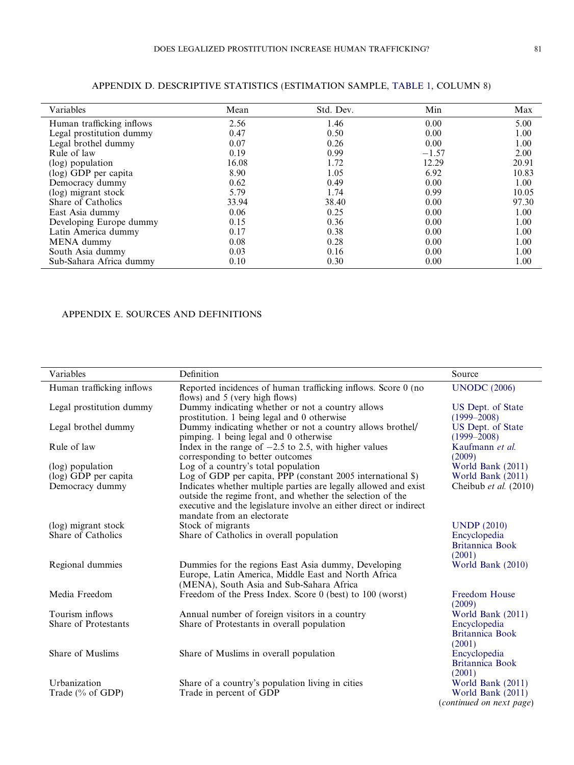| Variables                 | Mean  | Std. Dev. | Min     | Max   |
|---------------------------|-------|-----------|---------|-------|
|                           |       |           |         |       |
| Human trafficking inflows | 2.56  | 1.46      | 0.00    | 5.00  |
| Legal prostitution dummy  | 0.47  | 0.50      | 0.00    | 1.00  |
| Legal brothel dummy       | 0.07  | 0.26      | 0.00    | 1.00  |
| Rule of law               | 0.19  | 0.99      | $-1.57$ | 2.00  |
| (log) population          | 16.08 | 1.72      | 12.29   | 20.91 |
| (log) GDP per capita      | 8.90  | 1.05      | 6.92    | 10.83 |
| Democracy dummy           | 0.62  | 0.49      | 0.00    | 1.00  |
| (log) migrant stock       | 5.79  | 1.74      | 0.99    | 10.05 |
| Share of Catholics        | 33.94 | 38.40     | 0.00    | 97.30 |
| East Asia dummy           | 0.06  | 0.25      | 0.00    | 1.00  |
| Developing Europe dummy   | 0.15  | 0.36      | 0.00    | 1.00  |
| Latin America dummy       | 0.17  | 0.38      | 0.00    | 1.00  |
| MENA dummy                | 0.08  | 0.28      | 0.00    | 1.00  |
| South Asia dummy          | 0.03  | 0.16      | 0.00    | 1.00  |
| Sub-Sahara Africa dummy   | 0.10  | 0.30      | 0.00    | 1.00  |

## APPENDIX D. DESCRIPTIVE STATISTICS (ESTIMATION SAMPLE, [TABLE 1,](#page-4-0) COLUMN 8)

### APPENDIX E. SOURCES AND DEFINITIONS

| Variables                        | Definition                                                                                                                                                                                                                         | Source                                                             |
|----------------------------------|------------------------------------------------------------------------------------------------------------------------------------------------------------------------------------------------------------------------------------|--------------------------------------------------------------------|
| Human trafficking inflows        | Reported incidences of human trafficking inflows. Score 0 (no<br>flows) and 5 (very high flows)                                                                                                                                    | <b>UNODC</b> (2006)                                                |
| Legal prostitution dummy         | Dummy indicating whether or not a country allows<br>prostitution. 1 being legal and 0 otherwise                                                                                                                                    | US Dept. of State<br>$(1999 - 2008)$                               |
| Legal brothel dummy              | Dummy indicating whether or not a country allows brothel/<br>pimping. 1 being legal and 0 otherwise                                                                                                                                | US Dept. of State<br>$(1999 - 2008)$                               |
| Rule of law                      | Index in the range of $-2.5$ to 2.5, with higher values<br>corresponding to better outcomes                                                                                                                                        | Kaufmann et al.<br>(2009)                                          |
| (log) population                 | Log of a country's total population                                                                                                                                                                                                | World Bank (2011)                                                  |
| (log) GDP per capita             | Log of GDP per capita, PPP (constant 2005 international \$)                                                                                                                                                                        | World Bank (2011)                                                  |
| Democracy dummy                  | Indicates whether multiple parties are legally allowed and exist<br>outside the regime front, and whether the selection of the<br>executive and the legislature involve an either direct or indirect<br>mandate from an electorate | Cheibub et al. (2010)                                              |
| (log) migrant stock              | Stock of migrants                                                                                                                                                                                                                  | <b>UNDP</b> (2010)                                                 |
| Share of Catholics               | Share of Catholics in overall population                                                                                                                                                                                           | Encyclopedia<br><b>Britannica Book</b><br>(2001)                   |
| Regional dummies                 | Dummies for the regions East Asia dummy, Developing<br>Europe, Latin America, Middle East and North Africa<br>(MENA), South Asia and Sub-Sahara Africa                                                                             | World Bank (2010)                                                  |
| Media Freedom                    | Freedom of the Press Index. Score $0$ (best) to $100$ (worst)                                                                                                                                                                      | Freedom House<br>(2009)                                            |
| Tourism inflows                  | Annual number of foreign visitors in a country                                                                                                                                                                                     | World Bank (2011)                                                  |
| Share of Protestants             | Share of Protestants in overall population                                                                                                                                                                                         | Encyclopedia<br>Britannica Book<br>(2001)                          |
| Share of Muslims                 | Share of Muslims in overall population                                                                                                                                                                                             | Encyclopedia<br><b>Britannica Book</b><br>(2001)                   |
| Urbanization<br>Trade (% of GDP) | Share of a country's population living in cities<br>Trade in percent of GDP                                                                                                                                                        | World Bank (2011)<br>World Bank (2011)<br>(continued on next page) |